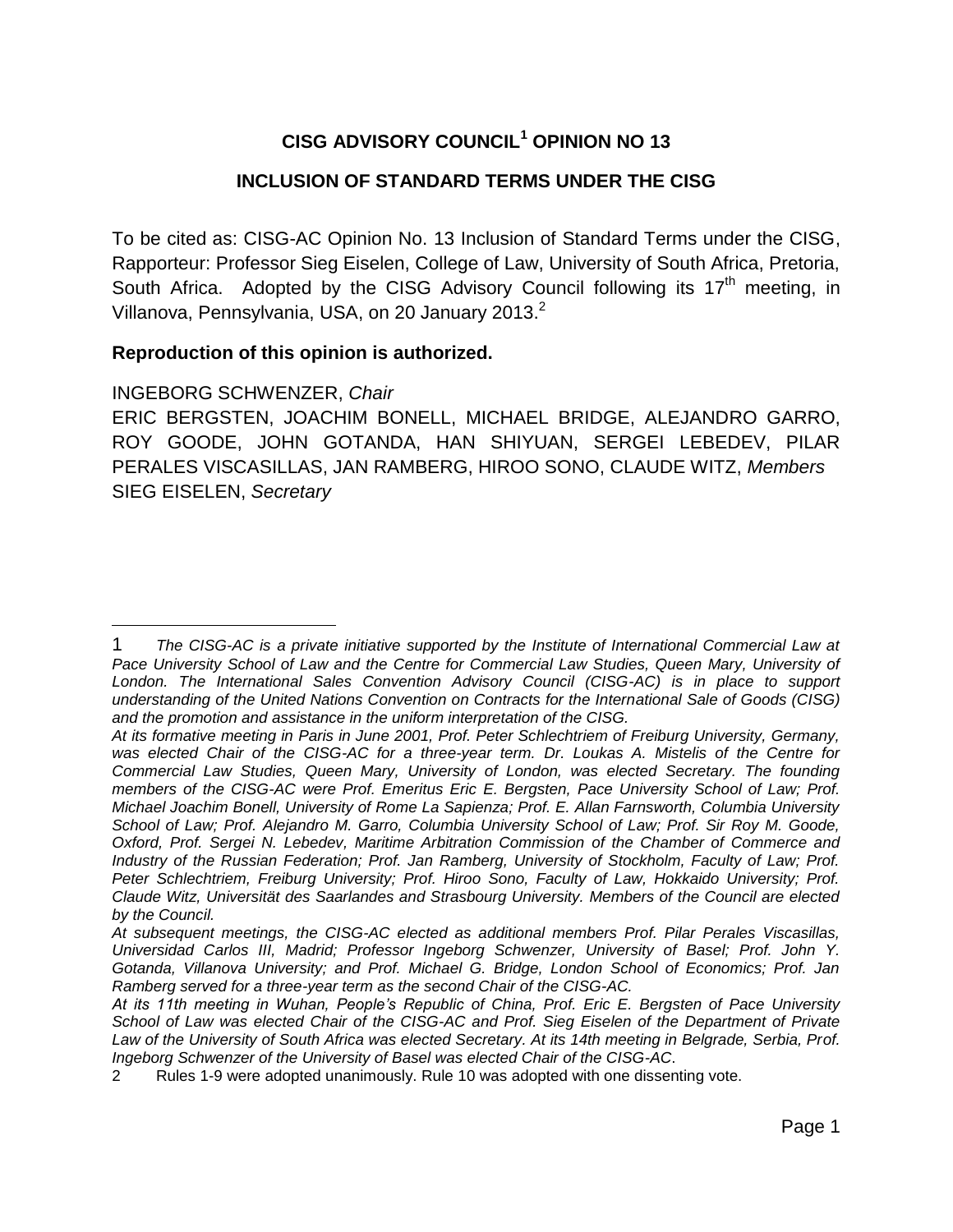# **CISG ADVISORY COUNCIL<sup>1</sup> OPINION NO 13**

# **INCLUSION OF STANDARD TERMS UNDER THE CISG**

To be cited as: CISG-AC Opinion No. 13 Inclusion of Standard Terms under the CISG, Rapporteur: Professor Sieg Eiselen, College of Law, University of South Africa, Pretoria, South Africa. Adopted by the CISG Advisory Council following its  $17<sup>th</sup>$  meeting, in Villanova, Pennsylvania, USA, on 20 January 2013.<sup>2</sup>

### **Reproduction of this opinion is authorized.**

### INGEBORG SCHWENZER, *Chair*

 $\overline{a}$ 

ERIC BERGSTEN, JOACHIM BONELL, MICHAEL BRIDGE, ALEJANDRO GARRO, ROY GOODE, JOHN GOTANDA, HAN SHIYUAN, SERGEI LEBEDEV, PILAR PERALES VISCASILLAS, JAN RAMBERG, HIROO SONO, CLAUDE WITZ, *Members* SIEG EISELEN, *Secretary*

<sup>1</sup> *The CISG-AC is a private initiative supported by the Institute of International Commercial Law at*  Pace University School of Law and the Centre for Commercial Law Studies, Queen Mary, University of London. The International Sales Convention Advisory Council (CISG-AC) is in place to support *understanding of the United Nations Convention on Contracts for the International Sale of Goods (CISG) and the promotion and assistance in the uniform interpretation of the CISG.*

*At its formative meeting in Paris in June 2001, Prof. Peter Schlechtriem of Freiburg University, Germany, was elected Chair of the CISG-AC for a three-year term. Dr. Loukas A. Mistelis of the Centre for Commercial Law Studies, Queen Mary, University of London, was elected Secretary. The founding members of the CISG-AC were Prof. Emeritus Eric E. Bergsten, Pace University School of Law; Prof. Michael Joachim Bonell, University of Rome La Sapienza; Prof. E. Allan Farnsworth, Columbia University School of Law; Prof. Alejandro M. Garro, Columbia University School of Law; Prof. Sir Roy M. Goode, Oxford, Prof. Sergei N. Lebedev, Maritime Arbitration Commission of the Chamber of Commerce and Industry of the Russian Federation; Prof. Jan Ramberg, University of Stockholm, Faculty of Law; Prof. Peter Schlechtriem, Freiburg University; Prof. Hiroo Sono, Faculty of Law, Hokkaido University; Prof. Claude Witz, Universität des Saarlandes and Strasbourg University. Members of the Council are elected by the Council.* 

*At subsequent meetings, the CISG-AC elected as additional members Prof. Pilar Perales Viscasillas, Universidad Carlos III, Madrid; Professor Ingeborg Schwenzer, University of Basel; Prof. John Y. Gotanda, Villanova University; and Prof. Michael G. Bridge, London School of Economics; Prof. Jan Ramberg served for a three-year term as the second Chair of the CISG-AC.*

*At its 11th meeting in Wuhan, People's Republic of China, Prof. Eric E. Bergsten of Pace University School of Law was elected Chair of the CISG-AC and Prof. Sieg Eiselen of the Department of Private Law of the University of South Africa was elected Secretary. At its 14th meeting in Belgrade, Serbia, Prof. Ingeborg Schwenzer of the University of Basel was elected Chair of the CISG-AC*.

<sup>2</sup> Rules 1-9 were adopted unanimously. Rule 10 was adopted with one dissenting vote.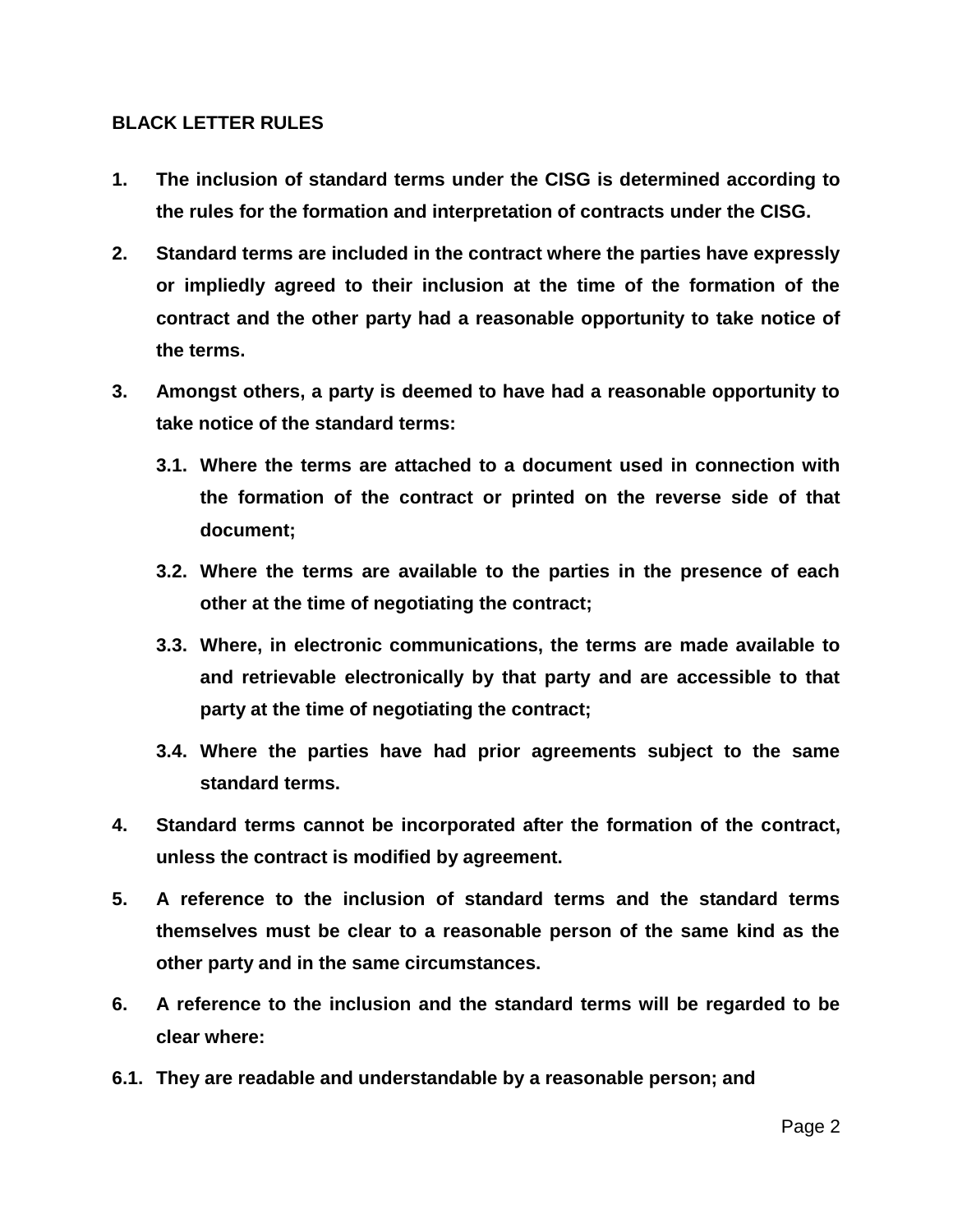### **BLACK LETTER RULES**

- **1. The inclusion of standard terms under the CISG is determined according to the rules for the formation and interpretation of contracts under the CISG.**
- **2. Standard terms are included in the contract where the parties have expressly or impliedly agreed to their inclusion at the time of the formation of the contract and the other party had a reasonable opportunity to take notice of the terms.**
- **3. Amongst others, a party is deemed to have had a reasonable opportunity to take notice of the standard terms:**
	- **3.1. Where the terms are attached to a document used in connection with the formation of the contract or printed on the reverse side of that document;**
	- **3.2. Where the terms are available to the parties in the presence of each other at the time of negotiating the contract;**
	- **3.3. Where, in electronic communications, the terms are made available to and retrievable electronically by that party and are accessible to that party at the time of negotiating the contract;**
	- **3.4. Where the parties have had prior agreements subject to the same standard terms.**
- **4. Standard terms cannot be incorporated after the formation of the contract, unless the contract is modified by agreement.**
- **5. A reference to the inclusion of standard terms and the standard terms themselves must be clear to a reasonable person of the same kind as the other party and in the same circumstances.**
- **6. A reference to the inclusion and the standard terms will be regarded to be clear where:**
- **6.1. They are readable and understandable by a reasonable person; and**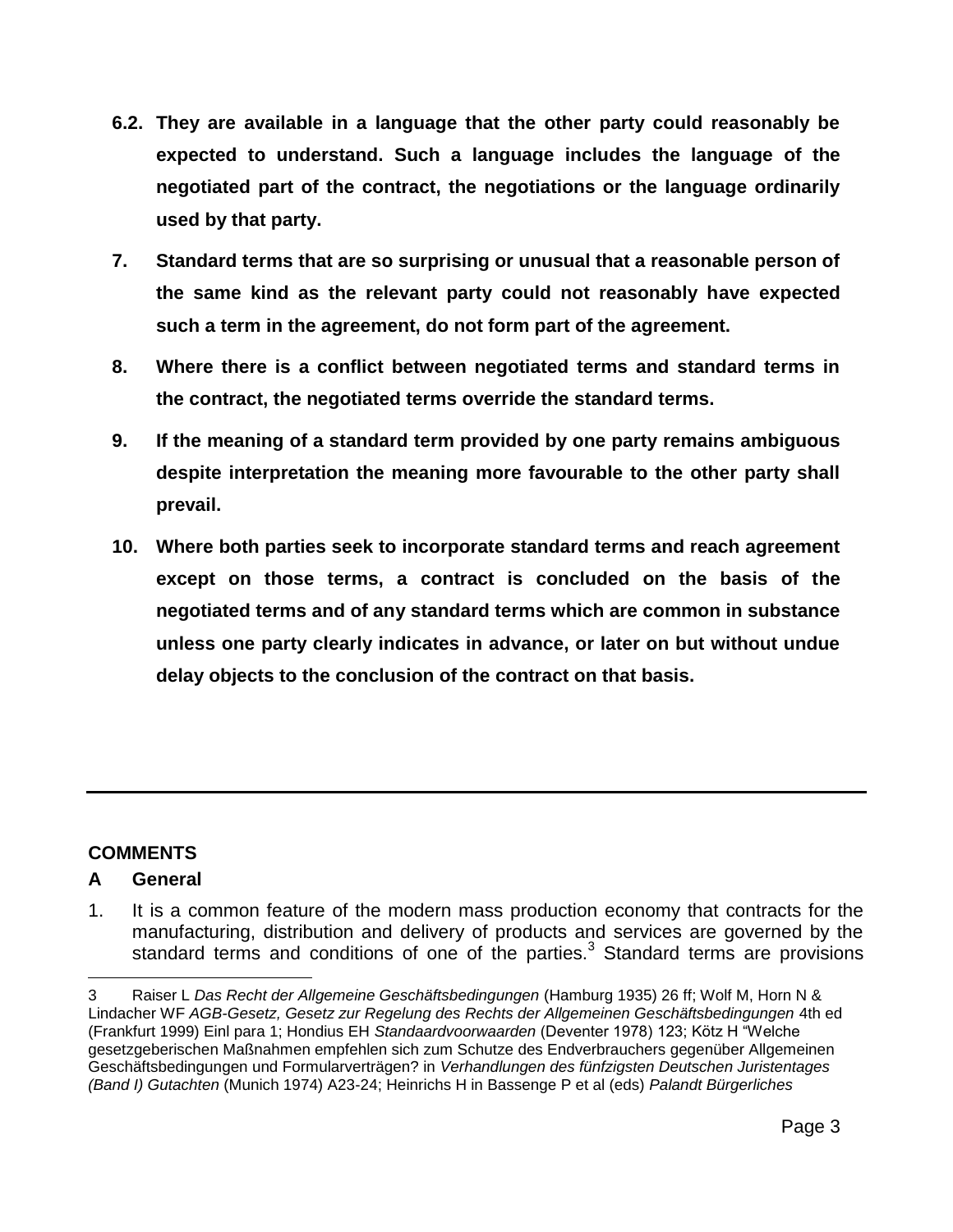- **6.2. They are available in a language that the other party could reasonably be expected to understand. Such a language includes the language of the negotiated part of the contract, the negotiations or the language ordinarily used by that party.**
- **7. Standard terms that are so surprising or unusual that a reasonable person of the same kind as the relevant party could not reasonably have expected such a term in the agreement, do not form part of the agreement.**
- **8. Where there is a conflict between negotiated terms and standard terms in the contract, the negotiated terms override the standard terms.**
- **9. If the meaning of a standard term provided by one party remains ambiguous despite interpretation the meaning more favourable to the other party shall prevail.**
- **10. Where both parties seek to incorporate standard terms and reach agreement except on those terms, a contract is concluded on the basis of the negotiated terms and of any standard terms which are common in substance unless one party clearly indicates in advance, or later on but without undue delay objects to the conclusion of the contract on that basis.**

# **COMMENTS**

# **A General**

 $\overline{a}$ 

1. It is a common feature of the modern mass production economy that contracts for the manufacturing, distribution and delivery of products and services are governed by the standard terms and conditions of one of the parties.<sup>3</sup> Standard terms are provisions

<sup>3</sup> Raiser L *Das Recht der Allgemeine Geschäftsbedingungen* (Hamburg 1935) 26 ff; Wolf M, Horn N & Lindacher WF *AGB-Gesetz, Gesetz zur Regelung des Rechts der Allgemeinen Geschäftsbedingungen* 4th ed (Frankfurt 1999) Einl para 1; Hondius EH *Standaardvoorwaarden* (Deventer 1978) 123; Kötz H "Welche gesetzgeberischen Maßnahmen empfehlen sich zum Schutze des Endverbrauchers gegenüber Allgemeinen Geschäftsbedingungen und Formularverträgen? in *Verhandlungen des fünfzigsten Deutschen Juristentages (Band I) Gutachten* (Munich 1974) A23-24; Heinrichs H in Bassenge P et al (eds) *Palandt Bürgerliches*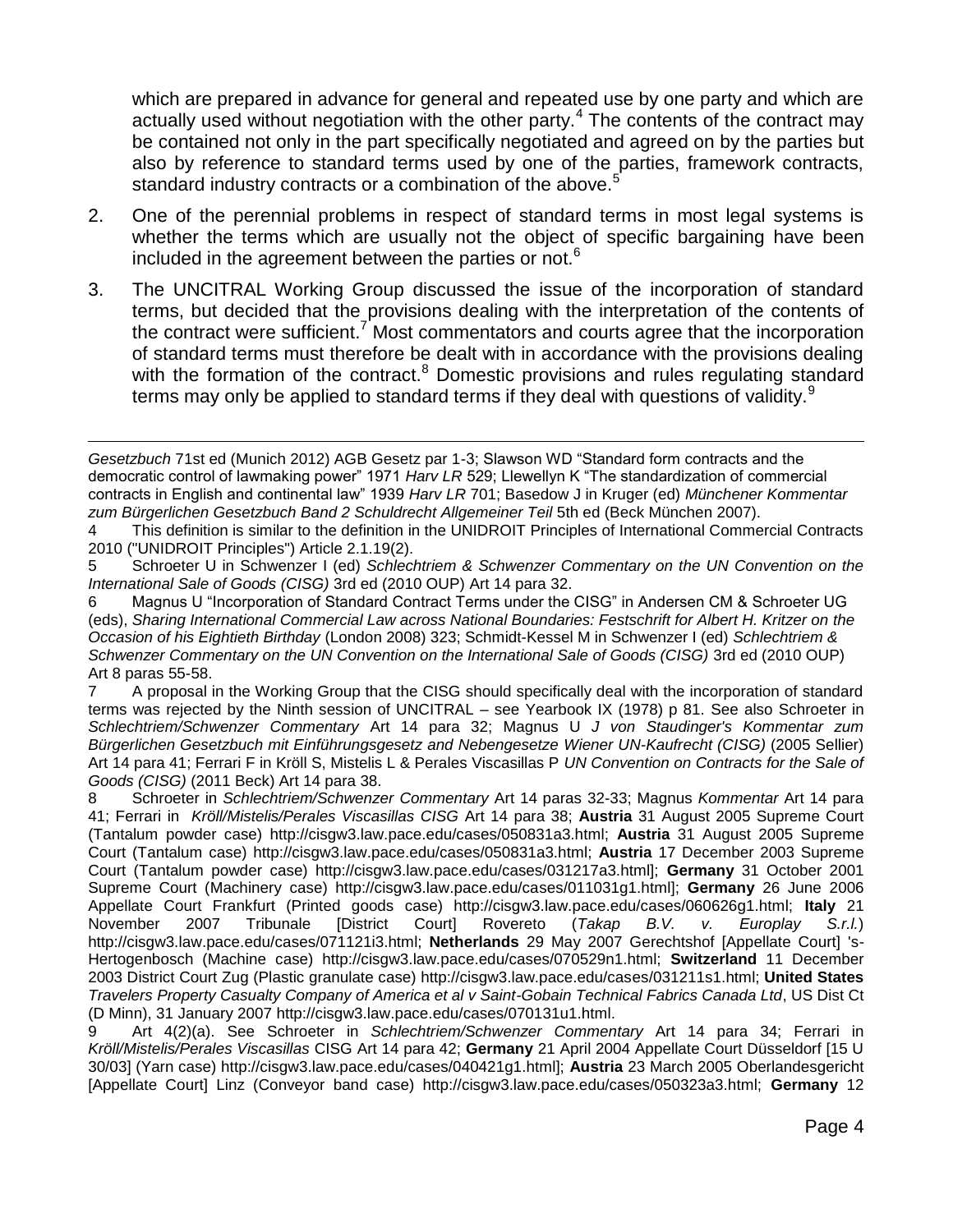which are prepared in advance for general and repeated use by one party and which are actually used without negotiation with the other party.<sup>4</sup> The contents of the contract may be contained not only in the part specifically negotiated and agreed on by the parties but also by reference to standard terms used by one of the parties, framework contracts, standard industry contracts or a combination of the above.<sup>5</sup>

- 2. One of the perennial problems in respect of standard terms in most legal systems is whether the terms which are usually not the object of specific bargaining have been included in the agreement between the parties or not. $6$
- 3. The UNCITRAL Working Group discussed the issue of the incorporation of standard terms, but decided that the provisions dealing with the interpretation of the contents of the contract were sufficient.<sup>7</sup> Most commentators and courts agree that the incorporation of standard terms must therefore be dealt with in accordance with the provisions dealing with the formation of the contract.<sup>8</sup> Domestic provisions and rules regulating standard terms may only be applied to standard terms if they deal with questions of validity.<sup>9</sup>

7 A proposal in the Working Group that the CISG should specifically deal with the incorporation of standard terms was rejected by the Ninth session of UNCITRAL – see Yearbook IX (1978) p 81. See also Schroeter in *Schlechtriem/Schwenzer Commentary* Art 14 para 32; Magnus U *J von Staudinger's Kommentar zum Bürgerlichen Gesetzbuch mit Einführungsgesetz and Nebengesetze Wiener UN-Kaufrecht (CISG)* (2005 Sellier) Art 14 para 41; Ferrari F in Kröll S, Mistelis L & Perales Viscasillas P *UN Convention on Contracts for the Sale of Goods (CISG)* (2011 Beck) Art 14 para 38.

8 Schroeter in *Schlechtriem/Schwenzer Commentary* Art 14 paras 32-33; Magnus *Kommentar* Art 14 para 41; Ferrari in *Kröll/Mistelis/Perales Viscasillas CISG* Art 14 para 38; **Austria** 31 August 2005 Supreme Court (Tantalum powder case) http://cisgw3.law.pace.edu/cases/050831a3.html; **Austria** 31 August 2005 Supreme Court (Tantalum case) http://cisgw3.law.pace.edu/cases/050831a3.html; **Austria** 17 December 2003 Supreme Court (Tantalum powder case) http://cisgw3.law.pace.edu/cases/031217a3.html]; **Germany** 31 October 2001 Supreme Court (Machinery case) http://cisgw3.law.pace.edu/cases/011031g1.html]; **Germany** 26 June 2006 Appellate Court Frankfurt (Printed goods case) http://cisgw3.law.pace.edu/cases/060626g1.html; **Italy** 21 November 2007 Tribunale [District Court] Rovereto (*Takap B.V. v. Europlay S.r.l.*) http://cisgw3.law.pace.edu/cases/071121i3.html; **Netherlands** 29 May 2007 Gerechtshof [Appellate Court] 's-Hertogenbosch (Machine case) http://cisgw3.law.pace.edu/cases/070529n1.html; **Switzerland** 11 December 2003 District Court Zug (Plastic granulate case) http://cisgw3.law.pace.edu/cases/031211s1.html; **United States**  *Travelers Property Casualty Company of America et al v Saint-Gobain Technical Fabrics Canada Ltd*, US Dist Ct (D Minn), 31 January 2007 http://cisgw3.law.pace.edu/cases/070131u1.html.

9 Art 4(2)(a). See Schroeter in *Schlechtriem/Schwenzer Commentary* Art 14 para 34; Ferrari in *Kröll/Mistelis/Perales Viscasillas* CISG Art 14 para 42; **Germany** 21 April 2004 Appellate Court Düsseldorf [15 U 30/03] (Yarn case) http://cisgw3.law.pace.edu/cases/040421g1.html]; **Austria** 23 March 2005 Oberlandesgericht [Appellate Court] Linz (Conveyor band case) http://cisgw3.law.pace.edu/cases/050323a3.html; **Germany** 12

 $\overline{a}$ *Gesetzbuch* 71st ed (Munich 2012) AGB Gesetz par 1-3; Slawson WD "Standard form contracts and the democratic control of lawmaking power" 1971 *Harv LR* 529; Llewellyn K "The standardization of commercial contracts in English and continental law" 1939 *Harv LR* 701; Basedow J in Kruger (ed) *Münchener Kommentar zum Bürgerlichen Gesetzbuch Band 2 Schuldrecht Allgemeiner Teil* 5th ed (Beck München 2007).

<sup>4</sup> This definition is similar to the definition in the UNIDROIT Principles of International Commercial Contracts 2010 ("UNIDROIT Principles") Article 2.1.19(2).

<sup>5</sup> Schroeter U in Schwenzer I (ed) *Schlechtriem & Schwenzer Commentary on the UN Convention on the International Sale of Goods (CISG)* 3rd ed (2010 OUP) Art 14 para 32.

<sup>6</sup> Magnus U "Incorporation of Standard Contract Terms under the CISG" in Andersen CM & Schroeter UG (eds), *Sharing International Commercial Law across National Boundaries: Festschrift for Albert H. Kritzer on the Occasion of his Eightieth Birthday* (London 2008) 323; Schmidt-Kessel M in Schwenzer I (ed) *Schlechtriem & Schwenzer Commentary on the UN Convention on the International Sale of Goods (CISG)* 3rd ed (2010 OUP) Art 8 paras 55-58.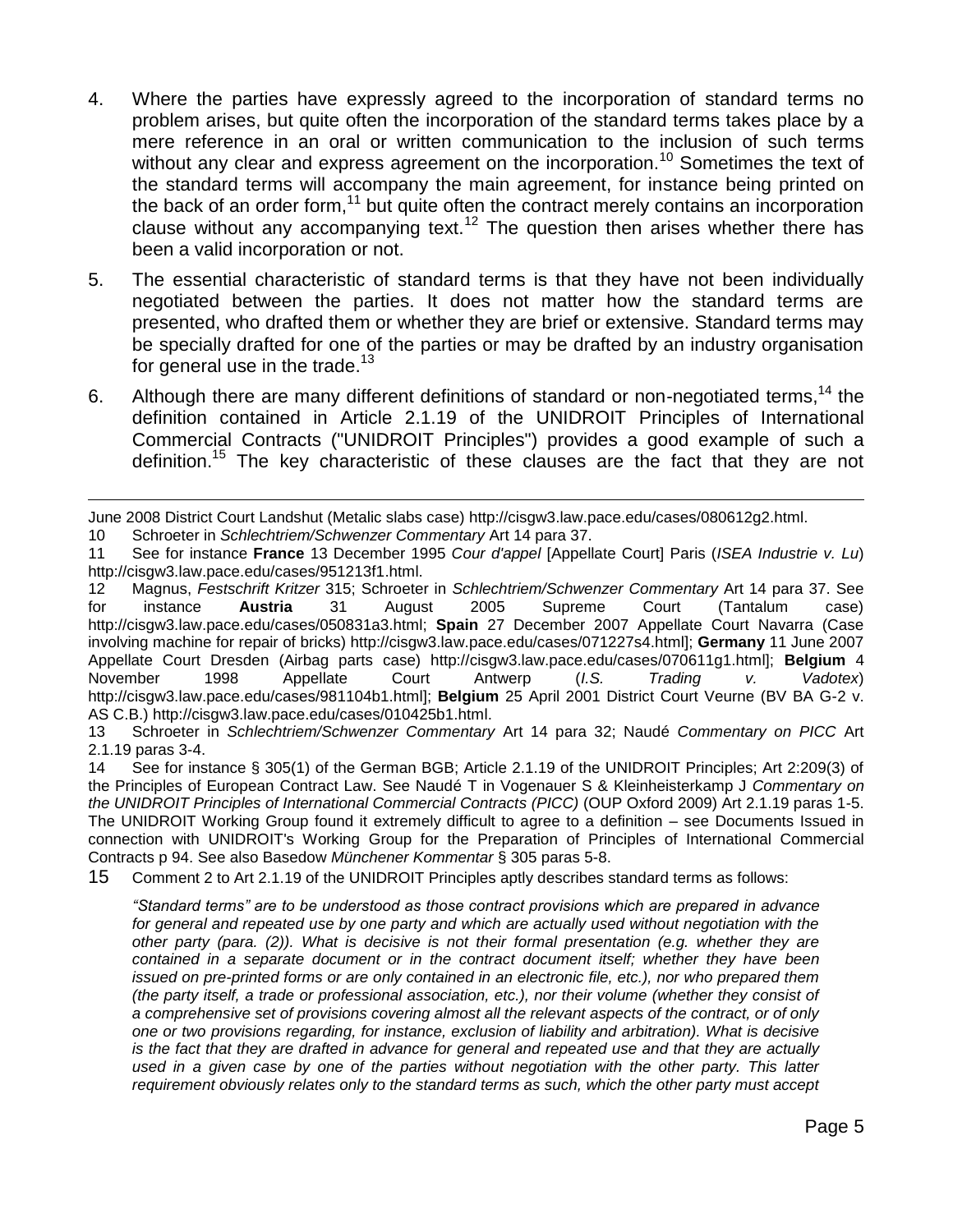- 4. Where the parties have expressly agreed to the incorporation of standard terms no problem arises, but quite often the incorporation of the standard terms takes place by a mere reference in an oral or written communication to the inclusion of such terms without any clear and express agreement on the incorporation.<sup>10</sup> Sometimes the text of the standard terms will accompany the main agreement, for instance being printed on the back of an order form, $11$  but quite often the contract merely contains an incorporation clause without any accompanying text.<sup>12</sup> The question then arises whether there has been a valid incorporation or not.
- 5. The essential characteristic of standard terms is that they have not been individually negotiated between the parties. It does not matter how the standard terms are presented, who drafted them or whether they are brief or extensive. Standard terms may be specially drafted for one of the parties or may be drafted by an industry organisation for general use in the trade.<sup>13</sup>
- 6. Although there are many different definitions of standard or non-negotiated terms,<sup>14</sup> the definition contained in Article 2.1.19 of the UNIDROIT Principles of International Commercial Contracts ("UNIDROIT Principles") provides a good example of such a definition. <sup>15</sup> The key characteristic of these clauses are the fact that they are not

10 Schroeter in *Schlechtriem/Schwenzer Commentary* Art 14 para 37.

15 Comment 2 to Art 2.1.19 of the UNIDROIT Principles aptly describes standard terms as follows:

*"Standard terms" are to be understood as those contract provisions which are prepared in advance for general and repeated use by one party and which are actually used without negotiation with the other party (para. (2)). What is decisive is not their formal presentation (e.g. whether they are contained in a separate document or in the contract document itself; whether they have been issued on pre-printed forms or are only contained in an electronic file, etc.), nor who prepared them (the party itself, a trade or professional association, etc.), nor their volume (whether they consist of a comprehensive set of provisions covering almost all the relevant aspects of the contract, or of only one or two provisions regarding, for instance, exclusion of liability and arbitration). What is decisive is the fact that they are drafted in advance for general and repeated use and that they are actually used in a given case by one of the parties without negotiation with the other party. This latter requirement obviously relates only to the standard terms as such, which the other party must accept* 

 $\overline{a}$ June 2008 District Court Landshut (Metalic slabs case) http://cisgw3.law.pace.edu/cases/080612g2.html.

<sup>11</sup> See for instance **France** 13 December 1995 *Cour d'appel* [Appellate Court] Paris (*ISEA Industrie v. Lu*) http://cisgw3.law.pace.edu/cases/951213f1.html.

<sup>12</sup> Magnus, *Festschrift Kritzer* 315; Schroeter in *Schlechtriem/Schwenzer Commentary* Art 14 para 37. See for instance **Austria** 31 August 2005 Supreme Court (Tantalum case) http://cisgw3.law.pace.edu/cases/050831a3.html; **Spain** 27 December 2007 Appellate Court Navarra (Case involving machine for repair of bricks) http://cisgw3.law.pace.edu/cases/071227s4.html]; **Germany** 11 June 2007 Appellate Court Dresden (Airbag parts case) http://cisgw3.law.pace.edu/cases/070611g1.html]; **Belgium** 4 November 1998 Appellate Court Antwerp (*I.S. Trading v. Vadotex*) http://cisgw3.law.pace.edu/cases/981104b1.html]; **Belgium** 25 April 2001 District Court Veurne (BV BA G-2 v. AS C.B.) http://cisgw3.law.pace.edu/cases/010425b1.html.

<sup>13</sup> Schroeter in *Schlechtriem/Schwenzer Commentary* Art 14 para 32; Naudé *Commentary on PICC* Art 2.1.19 paras 3-4.

<sup>14</sup> See for instance § 305(1) of the German BGB; Article 2.1.19 of the UNIDROIT Principles; Art 2:209(3) of the Principles of European Contract Law. See Naudé T in Vogenauer S & Kleinheisterkamp J *Commentary on the UNIDROIT Principles of International Commercial Contracts (PICC)* (OUP Oxford 2009) Art 2.1.19 paras 1-5. The UNIDROIT Working Group found it extremely difficult to agree to a definition – see Documents Issued in connection with UNIDROIT's Working Group for the Preparation of Principles of International Commercial Contracts p 94. See also Basedow *Münchener Kommentar* § 305 paras 5-8.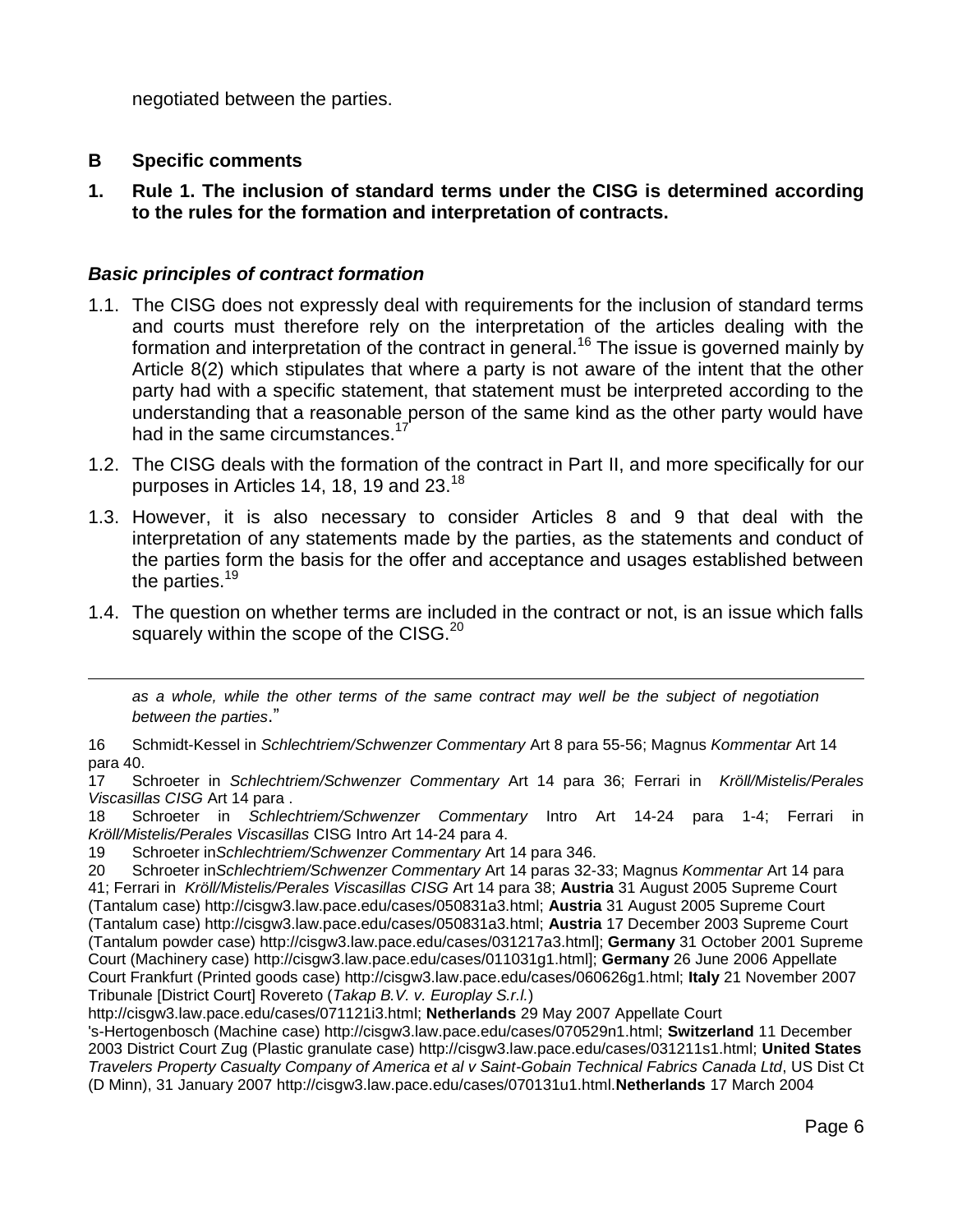negotiated between the parties.

### **B Specific comments**

 $\overline{a}$ 

**1. Rule 1. The inclusion of standard terms under the CISG is determined according to the rules for the formation and interpretation of contracts.**

# *Basic principles of contract formation*

- 1.1. The CISG does not expressly deal with requirements for the inclusion of standard terms and courts must therefore rely on the interpretation of the articles dealing with the formation and interpretation of the contract in general.<sup>16</sup> The issue is governed mainly by Article 8(2) which stipulates that where a party is not aware of the intent that the other party had with a specific statement, that statement must be interpreted according to the understanding that a reasonable person of the same kind as the other party would have had in the same circumstances.<sup>17</sup>
- 1.2. The CISG deals with the formation of the contract in Part II, and more specifically for our purposes in Articles 14, 18, 19 and  $23.^{18}$
- 1.3. However, it is also necessary to consider Articles 8 and 9 that deal with the interpretation of any statements made by the parties, as the statements and conduct of the parties form the basis for the offer and acceptance and usages established between the parties.<sup>19</sup>
- 1.4. The question on whether terms are included in the contract or not, is an issue which falls squarely within the scope of the CISG.<sup>20</sup>

*as a whole, while the other terms of the same contract may well be the subject of negotiation between the parties*."

<sup>16</sup> Schmidt-Kessel in *Schlechtriem/Schwenzer Commentary* Art 8 para 55-56; Magnus *Kommentar* Art 14 para 40.

<sup>17</sup> Schroeter in *Schlechtriem/Schwenzer Commentary* Art 14 para 36; Ferrari in *Kröll/Mistelis/Perales Viscasillas CISG* Art 14 para .

<sup>18</sup> Schroeter in *Schlechtriem/Schwenzer Commentary* Intro Art 14-24 para 1-4; Ferrari in *Kröll/Mistelis/Perales Viscasillas* CISG Intro Art 14-24 para 4.

<sup>19</sup> Schroeter in*Schlechtriem/Schwenzer Commentary* Art 14 para 346.

<sup>20</sup> Schroeter in*Schlechtriem/Schwenzer Commentary* Art 14 paras 32-33; Magnus *Kommentar* Art 14 para 41; Ferrari in *Kröll/Mistelis/Perales Viscasillas CISG* Art 14 para 38; **Austria** 31 August 2005 Supreme Court (Tantalum case) http://cisgw3.law.pace.edu/cases/050831a3.html; **Austria** 31 August 2005 Supreme Court (Tantalum case) http://cisgw3.law.pace.edu/cases/050831a3.html; **Austria** 17 December 2003 Supreme Court (Tantalum powder case) http://cisgw3.law.pace.edu/cases/031217a3.html]; **Germany** 31 October 2001 Supreme Court (Machinery case) http://cisgw3.law.pace.edu/cases/011031g1.html]; **Germany** 26 June 2006 Appellate Court Frankfurt (Printed goods case) http://cisgw3.law.pace.edu/cases/060626g1.html; **Italy** 21 November 2007 Tribunale [District Court] Rovereto (*Takap B.V. v. Europlay S.r.l.*)

http://cisgw3.law.pace.edu/cases/071121i3.html; **Netherlands** 29 May 2007 Appellate Court

<sup>&#</sup>x27;s-Hertogenbosch (Machine case) http://cisgw3.law.pace.edu/cases/070529n1.html; **Switzerland** 11 December 2003 District Court Zug (Plastic granulate case) http://cisgw3.law.pace.edu/cases/031211s1.html; **United States** *Travelers Property Casualty Company of America et al v Saint-Gobain Technical Fabrics Canada Ltd*, US Dist Ct (D Minn), 31 January 2007 http://cisgw3.law.pace.edu/cases/070131u1.html.**Netherlands** 17 March 2004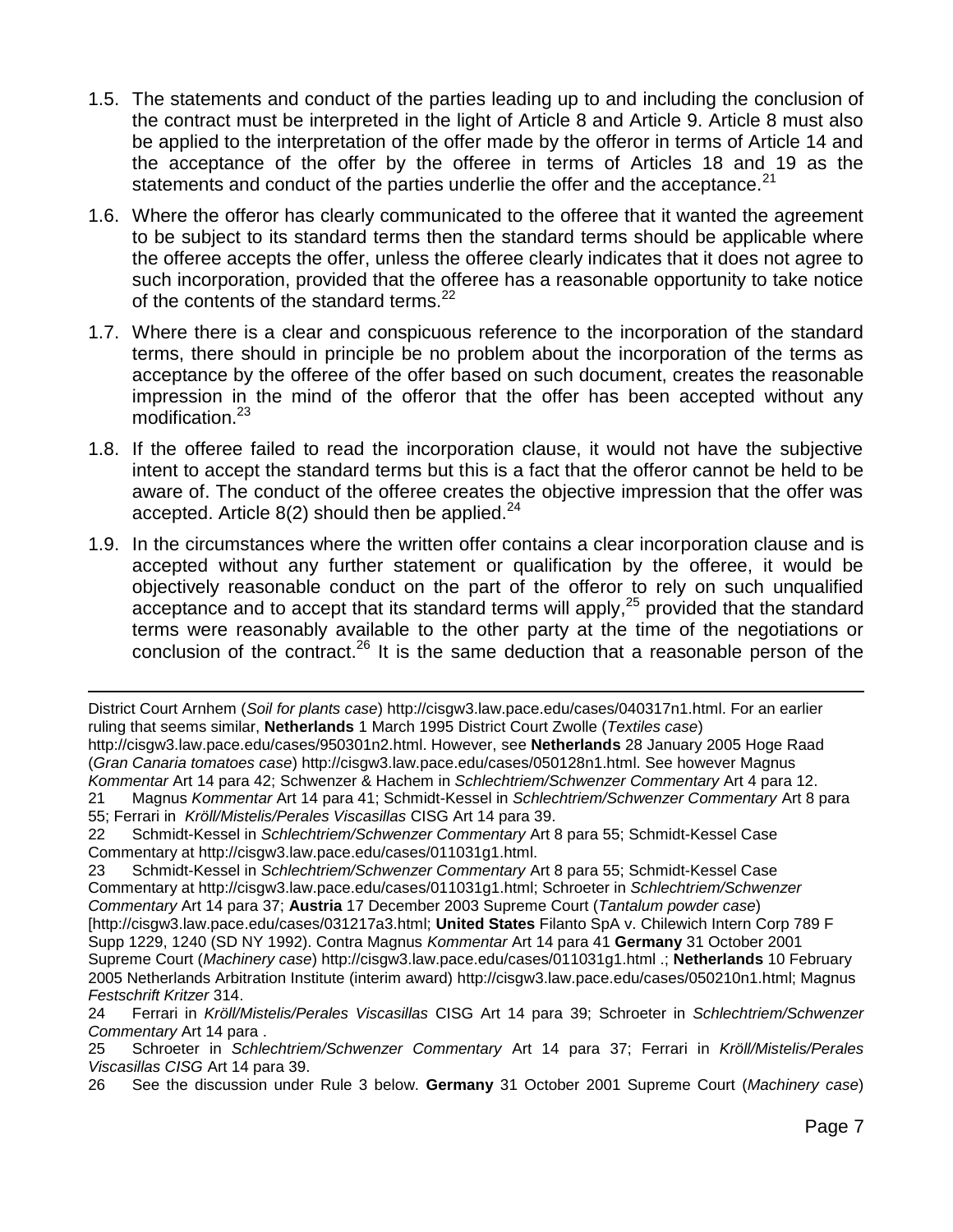- 1.5. The statements and conduct of the parties leading up to and including the conclusion of the contract must be interpreted in the light of Article 8 and Article 9. Article 8 must also be applied to the interpretation of the offer made by the offeror in terms of Article 14 and the acceptance of the offer by the offeree in terms of Articles 18 and 19 as the statements and conduct of the parties underlie the offer and the acceptance.<sup>21</sup>
- 1.6. Where the offeror has clearly communicated to the offeree that it wanted the agreement to be subject to its standard terms then the standard terms should be applicable where the offeree accepts the offer, unless the offeree clearly indicates that it does not agree to such incorporation, provided that the offeree has a reasonable opportunity to take notice of the contents of the standard terms.<sup>22</sup>
- 1.7. Where there is a clear and conspicuous reference to the incorporation of the standard terms, there should in principle be no problem about the incorporation of the terms as acceptance by the offeree of the offer based on such document, creates the reasonable impression in the mind of the offeror that the offer has been accepted without any modification.<sup>23</sup>
- 1.8. If the offeree failed to read the incorporation clause, it would not have the subjective intent to accept the standard terms but this is a fact that the offeror cannot be held to be aware of. The conduct of the offeree creates the objective impression that the offer was accepted. Article  $8(2)$  should then be applied.<sup>24</sup>
- 1.9. In the circumstances where the written offer contains a clear incorporation clause and is accepted without any further statement or qualification by the offeree, it would be objectively reasonable conduct on the part of the offeror to rely on such unqualified acceptance and to accept that its standard terms will apply,<sup>25</sup> provided that the standard terms were reasonably available to the other party at the time of the negotiations or conclusion of the contract.<sup>26</sup> It is the same deduction that a reasonable person of the

 $\overline{a}$ District Court Arnhem (*Soil for plants case*) http://cisgw3.law.pace.edu/cases/040317n1.html. For an earlier ruling that seems similar, **Netherlands** 1 March 1995 District Court Zwolle (*Textiles case*) http://cisgw3.law.pace.edu/cases/950301n2.html. However, see **Netherlands** 28 January 2005 Hoge Raad (*Gran Canaria tomatoes case*) http://cisgw3.law.pace.edu/cases/050128n1.html. See however Magnus *Kommentar* Art 14 para 42; Schwenzer & Hachem in *Schlechtriem/Schwenzer Commentary* Art 4 para 12. 21 Magnus *Kommentar* Art 14 para 41; Schmidt-Kessel in *Schlechtriem/Schwenzer Commentary* Art 8 para

<sup>55;</sup> Ferrari in *Kröll/Mistelis/Perales Viscasillas* CISG Art 14 para 39.

<sup>22</sup> Schmidt-Kessel in *Schlechtriem/Schwenzer Commentary* Art 8 para 55; Schmidt-Kessel Case Commentary at http://cisgw3.law.pace.edu/cases/011031g1.html.

<sup>23</sup> Schmidt-Kessel in *Schlechtriem/Schwenzer Commentary* Art 8 para 55; Schmidt-Kessel Case Commentary at http://cisgw3.law.pace.edu/cases/011031g1.html; Schroeter in *Schlechtriem/Schwenzer Commentary* Art 14 para 37; **Austria** 17 December 2003 Supreme Court (*Tantalum powder case*) [http://cisgw3.law.pace.edu/cases/031217a3.html; **United States** Filanto SpA v. Chilewich Intern Corp 789 F Supp 1229, 1240 (SD NY 1992). Contra Magnus *Kommentar* Art 14 para 41 **Germany** 31 October 2001 Supreme Court (*Machinery case*) http://cisgw3.law.pace.edu/cases/011031g1.html .; **Netherlands** 10 February 2005 Netherlands Arbitration Institute (interim award) http://cisgw3.law.pace.edu/cases/050210n1.html; Magnus *Festschrift Kritzer* 314.

<sup>24</sup> Ferrari in *Kröll/Mistelis/Perales Viscasillas* CISG Art 14 para 39; Schroeter in *Schlechtriem/Schwenzer Commentary* Art 14 para .

<sup>25</sup> Schroeter in *Schlechtriem/Schwenzer Commentary* Art 14 para 37; Ferrari in *Kröll/Mistelis/Perales Viscasillas CISG* Art 14 para 39.

<sup>26</sup> See the discussion under Rule 3 below. **Germany** 31 October 2001 Supreme Court (*Machinery case*)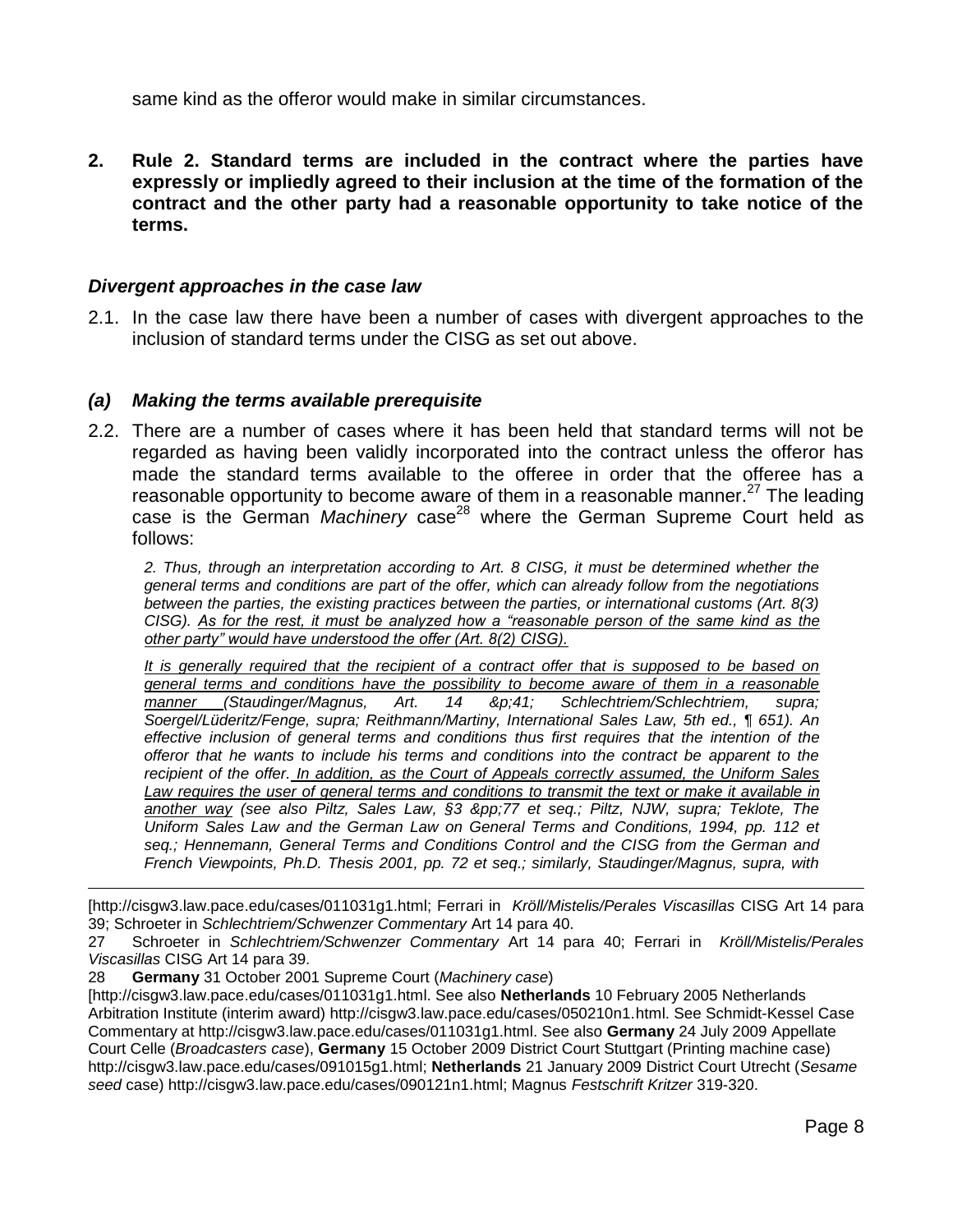same kind as the offeror would make in similar circumstances.

**2. Rule 2. Standard terms are included in the contract where the parties have expressly or impliedly agreed to their inclusion at the time of the formation of the contract and the other party had a reasonable opportunity to take notice of the terms.**

#### *Divergent approaches in the case law*

2.1. In the case law there have been a number of cases with divergent approaches to the inclusion of standard terms under the CISG as set out above.

#### *(a) Making the terms available prerequisite*

2.2. There are a number of cases where it has been held that standard terms will not be regarded as having been validly incorporated into the contract unless the offeror has made the standard terms available to the offeree in order that the offeree has a reasonable opportunity to become aware of them in a reasonable manner.<sup>27</sup> The leading case is the German *Machinery* case<sup>28</sup> where the German Supreme Court held as follows:

*2. Thus, through an interpretation according to Art. 8 CISG, it must be determined whether the general terms and conditions are part of the offer, which can already follow from the negotiations between the parties, the existing practices between the parties, or international customs (Art. 8(3) CISG). As for the rest, it must be analyzed how a "reasonable person of the same kind as the other party" would have understood the offer (Art. 8(2) CISG).*

*It is generally required that the recipient of a contract offer that is supposed to be based on general terms and conditions have the possibility to become aware of them in a reasonable manner (Staudinger/Magnus, Art. 14 &p;41; Schlechtriem/Schlechtriem, supra; Soergel/Lüderitz/Fenge, supra; Reithmann/Martiny, International Sales Law, 5th ed., ¶ 651). An effective inclusion of general terms and conditions thus first requires that the intention of the offeror that he wants to include his terms and conditions into the contract be apparent to the recipient of the offer. In addition, as the Court of Appeals correctly assumed, the Uniform Sales Law requires the user of general terms and conditions to transmit the text or make it available in another way (see also Piltz, Sales Law, §3 &pp;77 et seq.; Piltz, NJW, supra; Teklote, The Uniform Sales Law and the German Law on General Terms and Conditions, 1994, pp. 112 et seq.; Hennemann, General Terms and Conditions Control and the CISG from the German and French Viewpoints, Ph.D. Thesis 2001, pp. 72 et seq.; similarly, Staudinger/Magnus, supra, with* 

[http://cisgw3.law.pace.edu/cases/011031g1.html; Ferrari in *Kröll/Mistelis/Perales Viscasillas* CISG Art 14 para 39; Schroeter in *Schlechtriem/Schwenzer Commentary* Art 14 para 40.

28 **Germany** 31 October 2001 Supreme Court (*Machinery case*)

<sup>27</sup> Schroeter in *Schlechtriem/Schwenzer Commentary* Art 14 para 40; Ferrari in *Kröll/Mistelis/Perales Viscasillas* CISG Art 14 para 39.

<sup>[</sup>http://cisgw3.law.pace.edu/cases/011031g1.html. See also **Netherlands** 10 February 2005 Netherlands Arbitration Institute (interim award) http://cisgw3.law.pace.edu/cases/050210n1.html. See Schmidt-Kessel Case Commentary at http://cisgw3.law.pace.edu/cases/011031g1.html. See also **Germany** 24 July 2009 Appellate Court Celle (*Broadcasters case*), **Germany** 15 October 2009 District Court Stuttgart (Printing machine case) http://cisgw3.law.pace.edu/cases/091015g1.html; **Netherlands** 21 January 2009 District Court Utrecht (*Sesame seed* case) http://cisgw3.law.pace.edu/cases/090121n1.html; Magnus *Festschrift Kritzer* 319-320.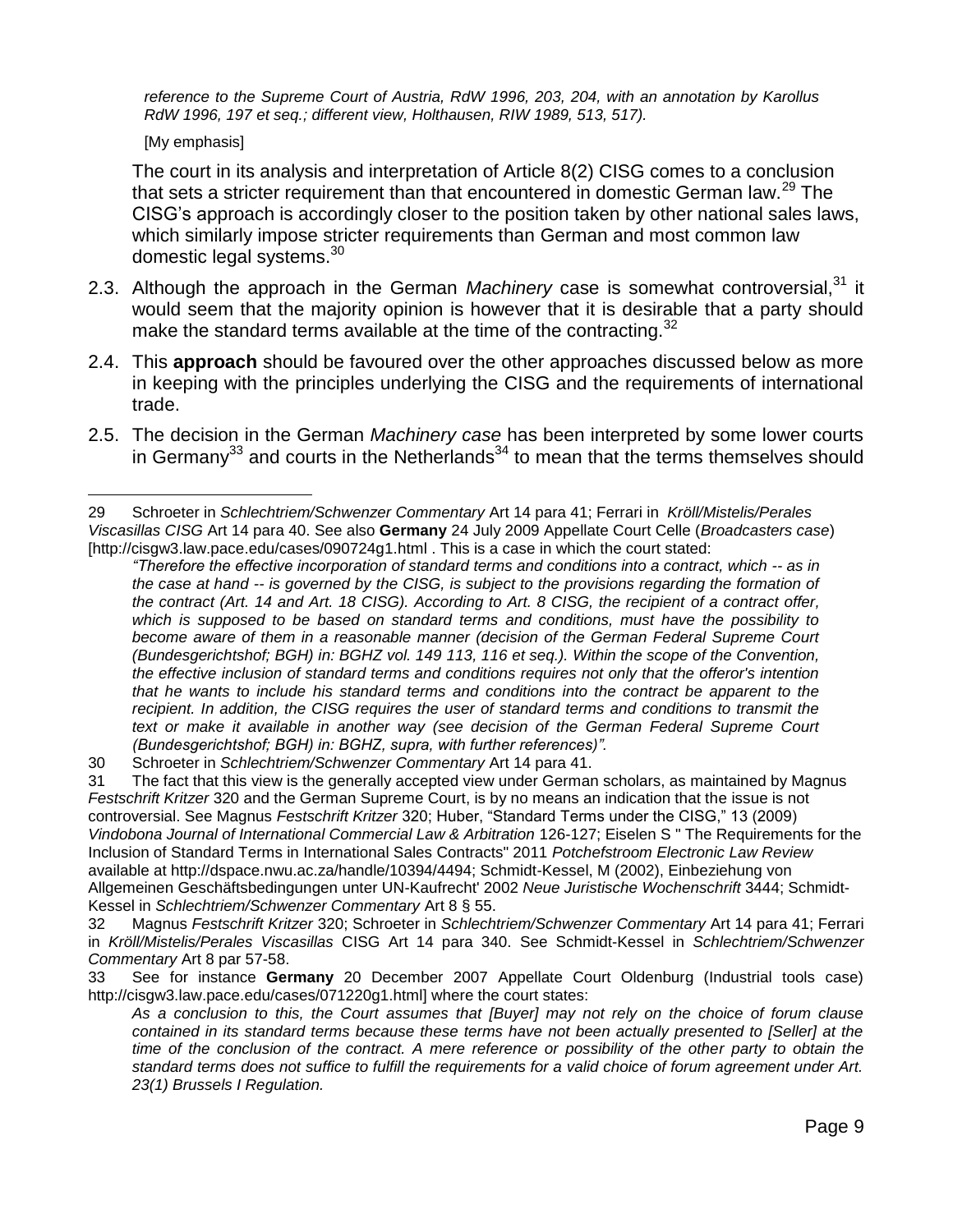*reference to the Supreme Court of Austria, RdW 1996, 203, 204, with an annotation by Karollus RdW 1996, 197 et seq.; different view, Holthausen, RIW 1989, 513, 517).*

[My emphasis]

 $\overline{a}$ 

The court in its analysis and interpretation of Article 8(2) CISG comes to a conclusion that sets a stricter requirement than that encountered in domestic German law.<sup>29</sup> The CISG's approach is accordingly closer to the position taken by other national sales laws, which similarly impose stricter requirements than German and most common law domestic legal systems.<sup>30</sup>

- 2.3. Although the approach in the German Machinery case is somewhat controversial,<sup>31</sup> it would seem that the majority opinion is however that it is desirable that a party should make the standard terms available at the time of the contracting.  $32$
- 2.4. This **approach** should be favoured over the other approaches discussed below as more in keeping with the principles underlying the CISG and the requirements of international trade.
- 2.5. The decision in the German *Machinery case* has been interpreted by some lower courts in Germany<sup>33</sup> and courts in the Netherlands<sup>34</sup> to mean that the terms themselves should

30 Schroeter in *Schlechtriem/Schwenzer Commentary* Art 14 para 41.

31 The fact that this view is the generally accepted view under German scholars, as maintained by Magnus *Festschrift Kritzer* 320 and the German Supreme Court, is by no means an indication that the issue is not controversial. See Magnus *Festschrift Kritzer* 320; Huber, "Standard Terms under the CISG," 13 (2009) *Vindobona Journal of International Commercial Law & Arbitration* 126-127; Eiselen S " The Requirements for the Inclusion of Standard Terms in International Sales Contracts" 2011 *Potchefstroom Electronic Law Review* available at http://dspace.nwu.ac.za/handle/10394/4494; Schmidt-Kessel, M (2002), Einbeziehung von Allgemeinen Geschäftsbedingungen unter UN-Kaufrecht' 2002 *Neue Juristische Wochenschrift* 3444; Schmidt-Kessel in *Schlechtriem/Schwenzer Commentary* Art 8 § 55.

32 Magnus *Festschrift Kritzer* 320; Schroeter in *Schlechtriem/Schwenzer Commentary* Art 14 para 41; Ferrari in *Kröll/Mistelis/Perales Viscasillas* CISG Art 14 para 340. See Schmidt-Kessel in *Schlechtriem/Schwenzer Commentary* Art 8 par 57-58.

33 See for instance **Germany** 20 December 2007 Appellate Court Oldenburg (Industrial tools case) http://cisgw3.law.pace.edu/cases/071220g1.html] where the court states:

<sup>29</sup> Schroeter in *Schlechtriem/Schwenzer Commentary* Art 14 para 41; Ferrari in *Kröll/Mistelis/Perales Viscasillas CISG* Art 14 para 40. See also **Germany** 24 July 2009 Appellate Court Celle (*Broadcasters case*) [http://cisgw3.law.pace.edu/cases/090724g1.html . This is a case in which the court stated:

*<sup>&</sup>quot;Therefore the effective incorporation of standard terms and conditions into a contract, which -- as in the case at hand -- is governed by the CISG, is subject to the provisions regarding the formation of the contract (Art. 14 and Art. 18 CISG). According to Art. 8 CISG, the recipient of a contract offer, which is supposed to be based on standard terms and conditions, must have the possibility to become aware of them in a reasonable manner (decision of the German Federal Supreme Court (Bundesgerichtshof; BGH) in: BGHZ vol. 149 113, 116 et seq.). Within the scope of the Convention, the effective inclusion of standard terms and conditions requires not only that the offeror's intention that he wants to include his standard terms and conditions into the contract be apparent to the recipient. In addition, the CISG requires the user of standard terms and conditions to transmit the text or make it available in another way (see decision of the German Federal Supreme Court (Bundesgerichtshof; BGH) in: BGHZ, supra, with further references)".*

*As a conclusion to this, the Court assumes that [Buyer] may not rely on the choice of forum clause contained in its standard terms because these terms have not been actually presented to [Seller] at the time of the conclusion of the contract. A mere reference or possibility of the other party to obtain the standard terms does not suffice to fulfill the requirements for a valid choice of forum agreement under Art. 23(1) Brussels I Regulation.*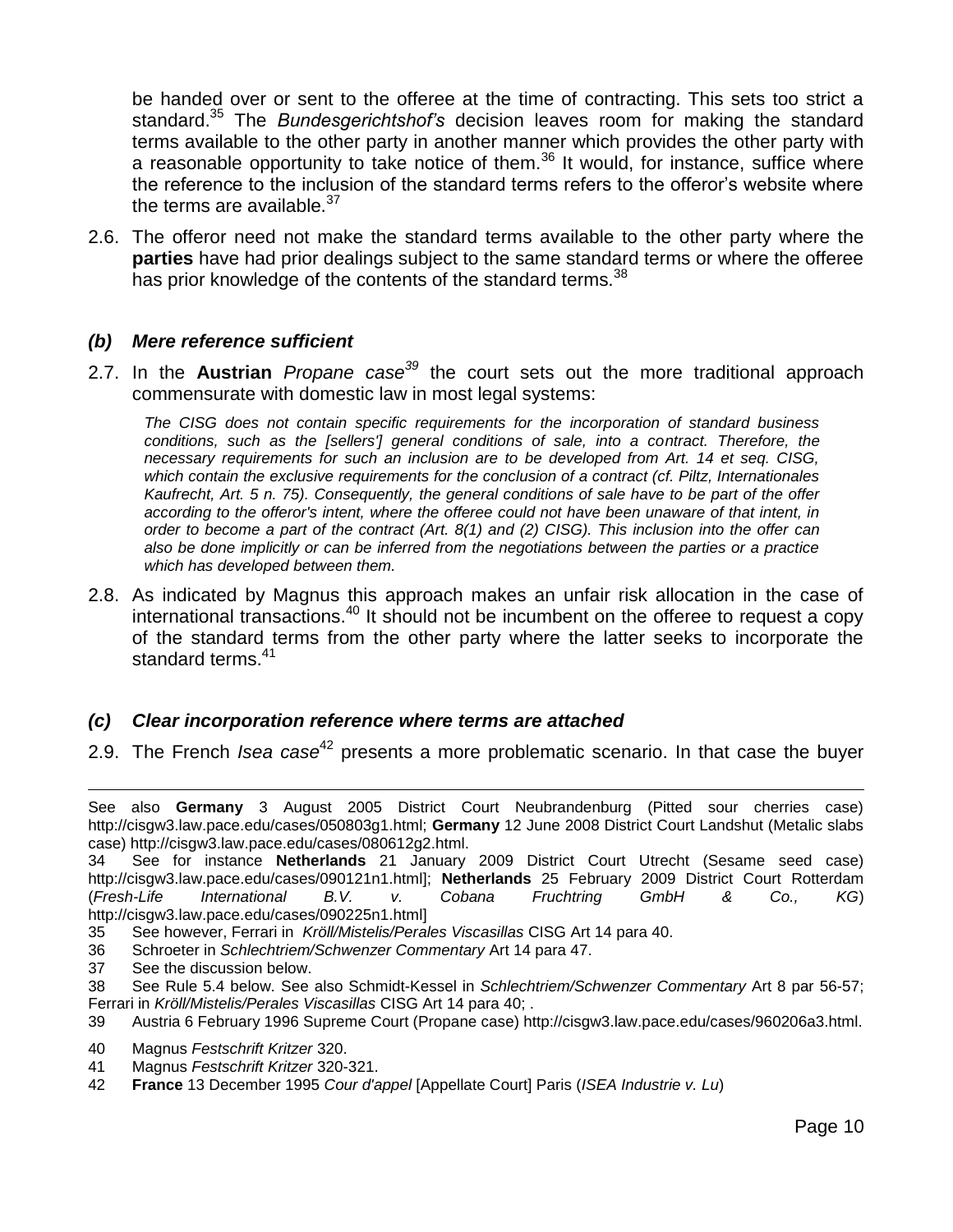be handed over or sent to the offeree at the time of contracting. This sets too strict a standard.<sup>35</sup> The *Bundesgerichtshof's* decision leaves room for making the standard terms available to the other party in another manner which provides the other party with a reasonable opportunity to take notice of them.<sup>36</sup> It would, for instance, suffice where the reference to the inclusion of the standard terms refers to the offeror's website where the terms are available. $37$ 

2.6. The offeror need not make the standard terms available to the other party where the **parties** have had prior dealings subject to the same standard terms or where the offeree has prior knowledge of the contents of the standard terms.<sup>38</sup>

#### *(b) Mere reference sufficient*

2.7. In the **Austrian** *Propane case<sup>39</sup>* the court sets out the more traditional approach commensurate with domestic law in most legal systems:

*The CISG does not contain specific requirements for the incorporation of standard business*  conditions, such as the [sellers'] general conditions of sale, into a contract. Therefore, the *necessary requirements for such an inclusion are to be developed from Art. 14 et seq. CISG, which contain the exclusive requirements for the conclusion of a contract (cf. Piltz, Internationales Kaufrecht, Art. 5 n. 75). Consequently, the general conditions of sale have to be part of the offer according to the offeror's intent, where the offeree could not have been unaware of that intent, in order to become a part of the contract (Art. 8(1) and (2) CISG). This inclusion into the offer can also be done implicitly or can be inferred from the negotiations between the parties or a practice which has developed between them.*

2.8. As indicated by Magnus this approach makes an unfair risk allocation in the case of international transactions.<sup>40</sup> It should not be incumbent on the offeree to request a copy of the standard terms from the other party where the latter seeks to incorporate the standard terms.<sup>41</sup>

### *(c) Clear incorporation reference where terms are attached*

2.9. The French *Isea case*<sup>42</sup> presents a more problematic scenario. In that case the buyer

- 36 Schroeter in *Schlechtriem/Schwenzer Commentary* Art 14 para 47.
- 37 See the discussion below.

- 38 See Rule 5.4 below. See also Schmidt-Kessel in *Schlechtriem/Schwenzer Commentary* Art 8 par 56-57; Ferrari in *Kröll/Mistelis/Perales Viscasillas* CISG Art 14 para 40; .
- 39 Austria 6 February 1996 Supreme Court (Propane case) http://cisgw3.law.pace.edu/cases/960206a3.html.
- 40 Magnus *Festschrift Kritzer* 320.
- 41 Magnus *Festschrift Kritzer* 320-321.
- 42 **France** 13 December 1995 *Cour d'appel* [Appellate Court] Paris (*ISEA Industrie v. Lu*)

See also **Germany** 3 August 2005 District Court Neubrandenburg (Pitted sour cherries case) http://cisgw3.law.pace.edu/cases/050803g1.html; **Germany** 12 June 2008 District Court Landshut (Metalic slabs case) http://cisgw3.law.pace.edu/cases/080612g2.html.

<sup>34</sup> See for instance **Netherlands** 21 January 2009 District Court Utrecht (Sesame seed case) http://cisgw3.law.pace.edu/cases/090121n1.html]; **Netherlands** 25 February 2009 District Court Rotterdam (*Fresh-Life International B.V. v. Cobana Fruchtring GmbH & Co., KG*) http://cisgw3.law.pace.edu/cases/090225n1.html]

<sup>35</sup> See however, Ferrari in *Kröll/Mistelis/Perales Viscasillas* CISG Art 14 para 40.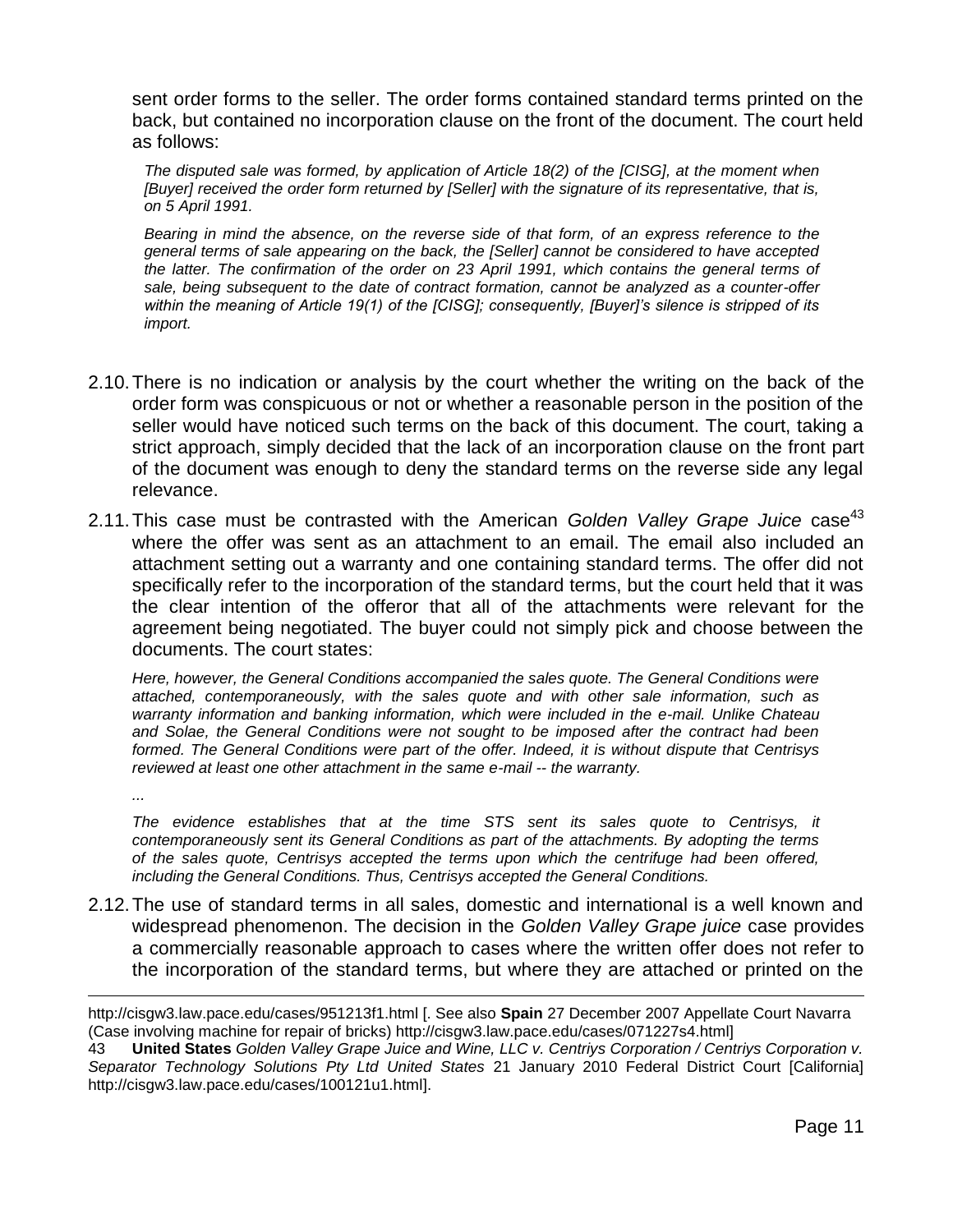sent order forms to the seller. The order forms contained standard terms printed on the back, but contained no incorporation clause on the front of the document. The court held as follows:

*The disputed sale was formed, by application of Article 18(2) of the [CISG], at the moment when [Buyer] received the order form returned by [Seller] with the signature of its representative, that is, on 5 April 1991.* 

*Bearing in mind the absence, on the reverse side of that form, of an express reference to the general terms of sale appearing on the back, the [Seller] cannot be considered to have accepted the latter. The confirmation of the order on 23 April 1991, which contains the general terms of sale, being subsequent to the date of contract formation, cannot be analyzed as a counter-offer within the meaning of Article 19(1) of the [CISG]; consequently, [Buyer]'s silence is stripped of its import.* 

- 2.10.There is no indication or analysis by the court whether the writing on the back of the order form was conspicuous or not or whether a reasonable person in the position of the seller would have noticed such terms on the back of this document. The court, taking a strict approach, simply decided that the lack of an incorporation clause on the front part of the document was enough to deny the standard terms on the reverse side any legal relevance.
- 2.11. This case must be contrasted with the American *Golden Valley Grape Juice* case<sup>43</sup> where the offer was sent as an attachment to an email. The email also included an attachment setting out a warranty and one containing standard terms. The offer did not specifically refer to the incorporation of the standard terms, but the court held that it was the clear intention of the offeror that all of the attachments were relevant for the agreement being negotiated. The buyer could not simply pick and choose between the documents. The court states:

*Here, however, the General Conditions accompanied the sales quote. The General Conditions were attached, contemporaneously, with the sales quote and with other sale information, such as warranty information and banking information, which were included in the e-mail. Unlike Chateau and Solae, the General Conditions were not sought to be imposed after the contract had been formed. The General Conditions were part of the offer. Indeed, it is without dispute that Centrisys reviewed at least one other attachment in the same e-mail -- the warranty.*

*...*

 $\overline{a}$ 

*The evidence establishes that at the time STS sent its sales quote to Centrisys, it contemporaneously sent its General Conditions as part of the attachments. By adopting the terms of the sales quote, Centrisys accepted the terms upon which the centrifuge had been offered, including the General Conditions. Thus, Centrisys accepted the General Conditions.*

2.12.The use of standard terms in all sales, domestic and international is a well known and widespread phenomenon. The decision in the *Golden Valley Grape juice* case provides a commercially reasonable approach to cases where the written offer does not refer to the incorporation of the standard terms, but where they are attached or printed on the

http://cisgw3.law.pace.edu/cases/951213f1.html [. See also **Spain** 27 December 2007 Appellate Court Navarra (Case involving machine for repair of bricks) http://cisgw3.law.pace.edu/cases/071227s4.html]

<sup>43</sup> **United States** *Golden Valley Grape Juice and Wine, LLC v. Centriys Corporation / Centriys Corporation v. Separator Technology Solutions Pty Ltd United States* 21 January 2010 Federal District Court [California] http://cisgw3.law.pace.edu/cases/100121u1.html].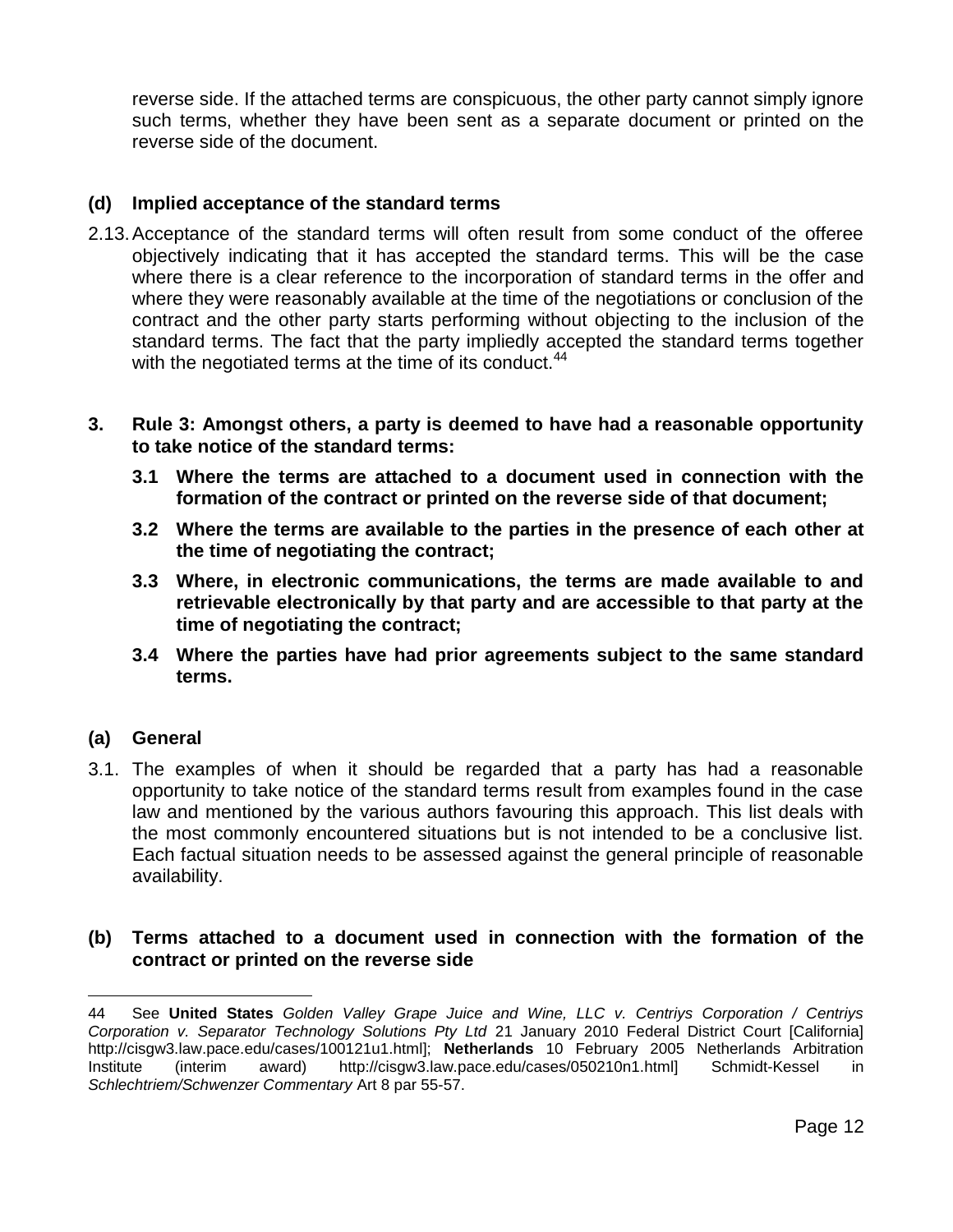reverse side. If the attached terms are conspicuous, the other party cannot simply ignore such terms, whether they have been sent as a separate document or printed on the reverse side of the document.

### **(d) Implied acceptance of the standard terms**

- 2.13.Acceptance of the standard terms will often result from some conduct of the offeree objectively indicating that it has accepted the standard terms. This will be the case where there is a clear reference to the incorporation of standard terms in the offer and where they were reasonably available at the time of the negotiations or conclusion of the contract and the other party starts performing without objecting to the inclusion of the standard terms. The fact that the party impliedly accepted the standard terms together with the negotiated terms at the time of its conduct.<sup>44</sup>
- **3. Rule 3: Amongst others, a party is deemed to have had a reasonable opportunity to take notice of the standard terms:**
	- **3.1 Where the terms are attached to a document used in connection with the formation of the contract or printed on the reverse side of that document;**
	- **3.2 Where the terms are available to the parties in the presence of each other at the time of negotiating the contract;**
	- **3.3 Where, in electronic communications, the terms are made available to and retrievable electronically by that party and are accessible to that party at the time of negotiating the contract;**
	- **3.4 Where the parties have had prior agreements subject to the same standard terms.**

### **(a) General**

3.1. The examples of when it should be regarded that a party has had a reasonable opportunity to take notice of the standard terms result from examples found in the case law and mentioned by the various authors favouring this approach. This list deals with the most commonly encountered situations but is not intended to be a conclusive list. Each factual situation needs to be assessed against the general principle of reasonable availability.

### **(b) Terms attached to a document used in connection with the formation of the contract or printed on the reverse side**

 $\overline{a}$ 44 See **United States** *Golden Valley Grape Juice and Wine, LLC v. Centriys Corporation / Centriys Corporation v. Separator Technology Solutions Pty Ltd* 21 January 2010 Federal District Court [California] http://cisgw3.law.pace.edu/cases/100121u1.html]; **Netherlands** 10 February 2005 Netherlands Arbitration Institute (interim award) http://cisgw3.law.pace.edu/cases/050210n1.html] Schmidt-Kessel in *Schlechtriem/Schwenzer Commentary* Art 8 par 55-57.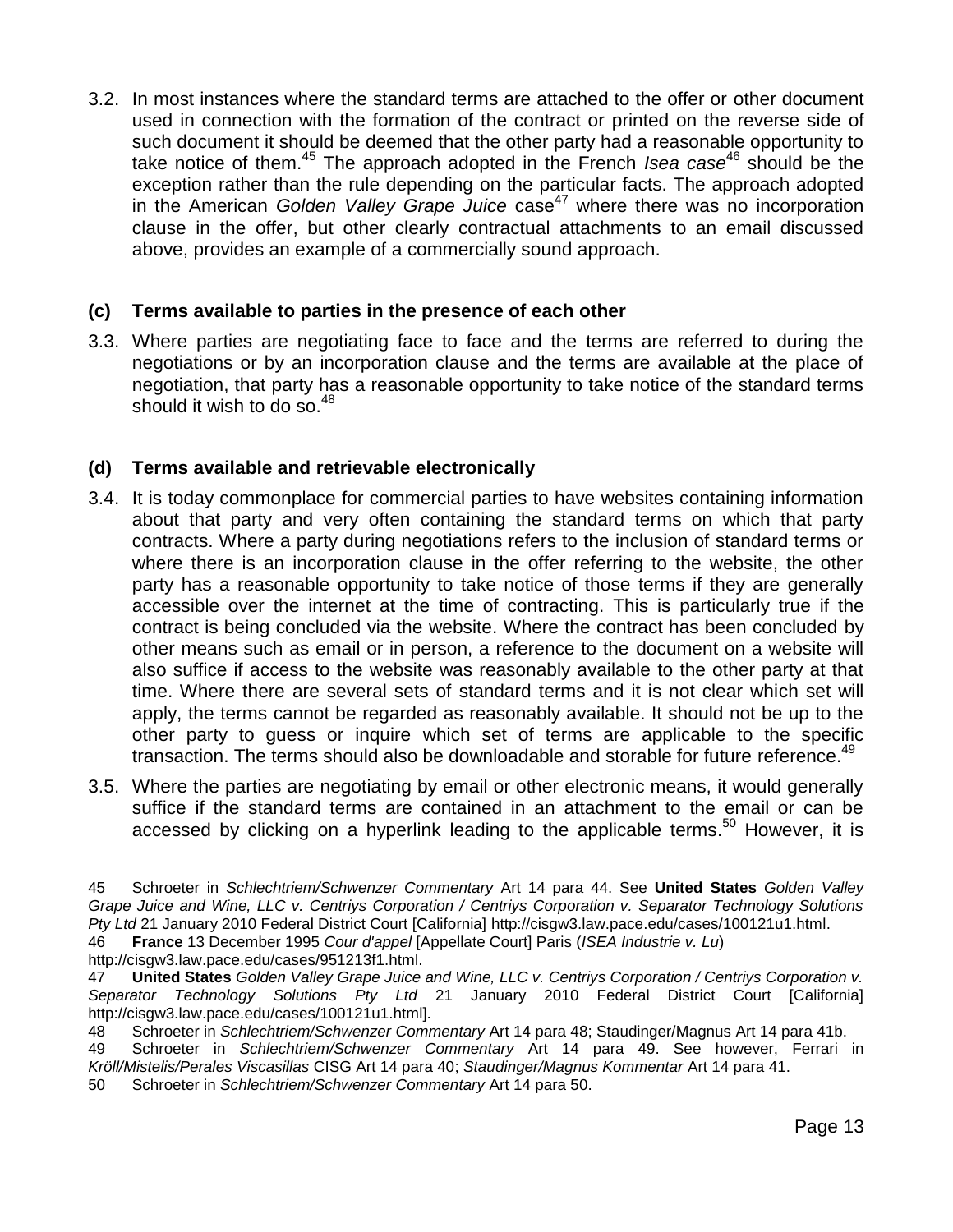3.2. In most instances where the standard terms are attached to the offer or other document used in connection with the formation of the contract or printed on the reverse side of such document it should be deemed that the other party had a reasonable opportunity to take notice of them.<sup>45</sup> The approach adopted in the French *Isea case*<sup>46</sup> should be the exception rather than the rule depending on the particular facts. The approach adopted in the American *Golden Valley Grape Juice* case<sup>47</sup> where there was no incorporation clause in the offer, but other clearly contractual attachments to an email discussed above, provides an example of a commercially sound approach.

# **(c) Terms available to parties in the presence of each other**

3.3. Where parties are negotiating face to face and the terms are referred to during the negotiations or by an incorporation clause and the terms are available at the place of negotiation, that party has a reasonable opportunity to take notice of the standard terms should it wish to do so.  $48$ 

# **(d) Terms available and retrievable electronically**

- 3.4. It is today commonplace for commercial parties to have websites containing information about that party and very often containing the standard terms on which that party contracts. Where a party during negotiations refers to the inclusion of standard terms or where there is an incorporation clause in the offer referring to the website, the other party has a reasonable opportunity to take notice of those terms if they are generally accessible over the internet at the time of contracting. This is particularly true if the contract is being concluded via the website. Where the contract has been concluded by other means such as email or in person, a reference to the document on a website will also suffice if access to the website was reasonably available to the other party at that time. Where there are several sets of standard terms and it is not clear which set will apply, the terms cannot be regarded as reasonably available. It should not be up to the other party to guess or inquire which set of terms are applicable to the specific transaction. The terms should also be downloadable and storable for future reference.<sup>49</sup>
- 3.5. Where the parties are negotiating by email or other electronic means, it would generally suffice if the standard terms are contained in an attachment to the email or can be accessed by clicking on a hyperlink leading to the applicable terms.<sup>50</sup> However, it is

46 **France** 13 December 1995 *Cour d'appel* [Appellate Court] Paris (*ISEA Industrie v. Lu*) http://cisgw3.law.pace.edu/cases/951213f1.html.

49 Schroeter in *Schlechtriem/Schwenzer Commentary* Art 14 para 49. See however, Ferrari in *Kröll/Mistelis/Perales Viscasillas* CISG Art 14 para 40; *Staudinger/Magnus Kommentar* Art 14 para 41.

50 Schroeter in *Schlechtriem/Schwenzer Commentary* Art 14 para 50.

<sup>45</sup> Schroeter in *Schlechtriem/Schwenzer Commentary* Art 14 para 44. See **United States** *Golden Valley Grape Juice and Wine, LLC v. Centriys Corporation / Centriys Corporation v. Separator Technology Solutions Pty Ltd* 21 January 2010 Federal District Court [California] http://cisgw3.law.pace.edu/cases/100121u1.html.

<sup>47</sup> **United States** *Golden Valley Grape Juice and Wine, LLC v. Centriys Corporation / Centriys Corporation v. Separator Technology Solutions Pty Ltd* 21 January 2010 Federal District Court [California] http://cisgw3.law.pace.edu/cases/100121u1.html].

<sup>48</sup> Schroeter in *Schlechtriem/Schwenzer Commentary* Art 14 para 48; Staudinger/Magnus Art 14 para 41b.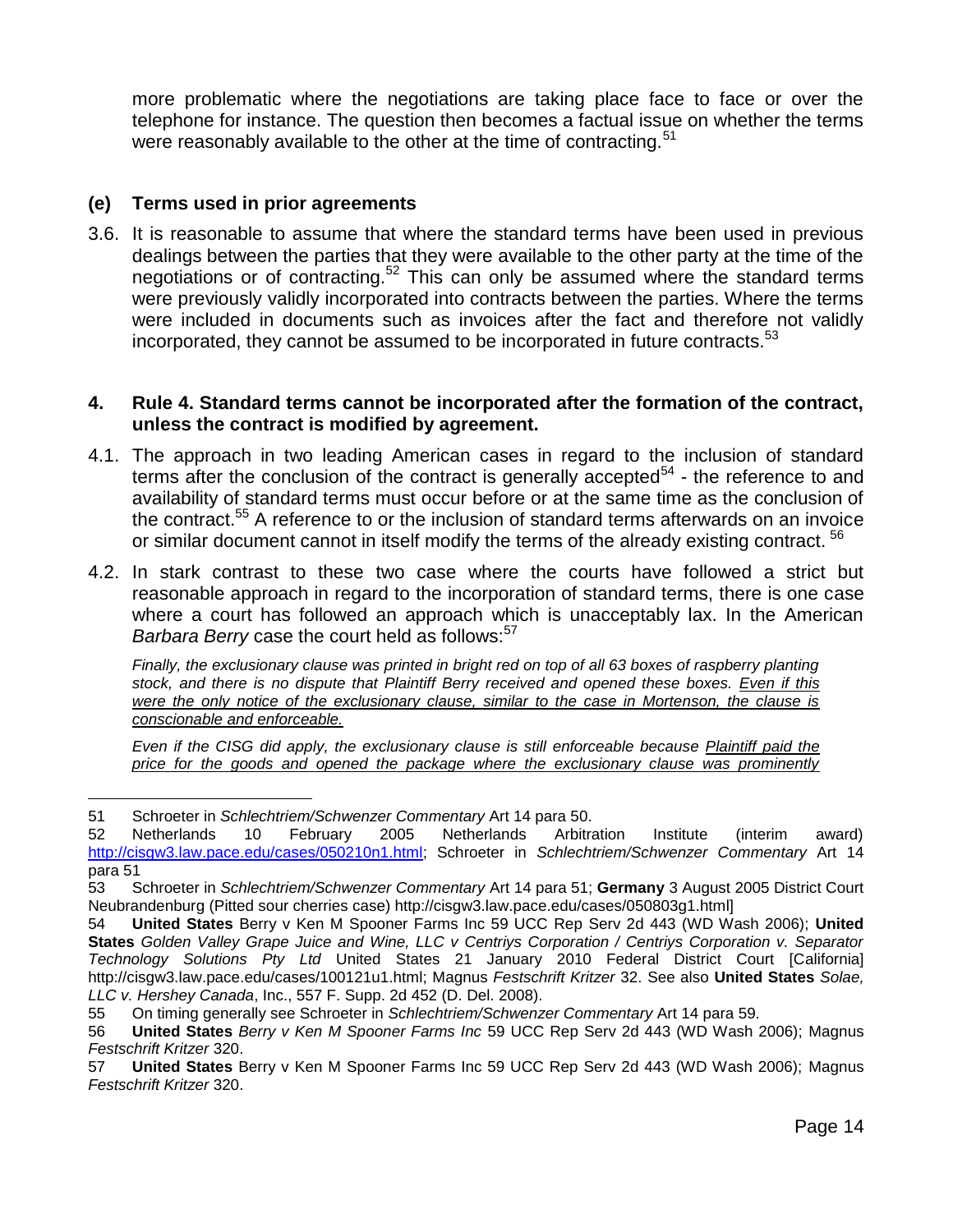more problematic where the negotiations are taking place face to face or over the telephone for instance. The question then becomes a factual issue on whether the terms were reasonably available to the other at the time of contracting.<sup>51</sup>

### **(e) Terms used in prior agreements**

3.6. It is reasonable to assume that where the standard terms have been used in previous dealings between the parties that they were available to the other party at the time of the negotiations or of contracting.<sup>52</sup> This can only be assumed where the standard terms were previously validly incorporated into contracts between the parties. Where the terms were included in documents such as invoices after the fact and therefore not validly incorporated, they cannot be assumed to be incorporated in future contracts. $53$ 

#### **4. Rule 4. Standard terms cannot be incorporated after the formation of the contract, unless the contract is modified by agreement.**

- 4.1. The approach in two leading American cases in regard to the inclusion of standard terms after the conclusion of the contract is generally accepted $54$  - the reference to and availability of standard terms must occur before or at the same time as the conclusion of the contract.<sup>55</sup> A reference to or the inclusion of standard terms afterwards on an invoice or similar document cannot in itself modify the terms of the already existing contract. <sup>56</sup>
- 4.2. In stark contrast to these two case where the courts have followed a strict but reasonable approach in regard to the incorporation of standard terms, there is one case where a court has followed an approach which is unacceptably lax. In the American *Barbara Berry* case the court held as follows:<sup>57</sup>

*Finally, the exclusionary clause was printed in bright red on top of all 63 boxes of raspberry planting stock, and there is no dispute that Plaintiff Berry received and opened these boxes. Even if this were the only notice of the exclusionary clause, similar to the case in Mortenson, the clause is conscionable and enforceable.*

*Even if the CISG did apply, the exclusionary clause is still enforceable because Plaintiff paid the price for the goods and opened the package where the exclusionary clause was prominently* 

 $\overline{a}$ 51 Schroeter in *Schlechtriem/Schwenzer Commentary* Art 14 para 50.

<sup>52</sup> Netherlands 10 February 2005 Netherlands Arbitration Institute (interim award) [http://cisgw3.law.pace.edu/cases/050210n1.html;](http://cisgw3.law.pace.edu/cases/050210n1.html) Schroeter in *Schlechtriem/Schwenzer Commentary* Art 14 para 51

<sup>53</sup> Schroeter in *Schlechtriem/Schwenzer Commentary* Art 14 para 51; **Germany** 3 August 2005 District Court Neubrandenburg (Pitted sour cherries case) http://cisgw3.law.pace.edu/cases/050803g1.html]

<sup>54</sup> **United States** Berry v Ken M Spooner Farms Inc 59 UCC Rep Serv 2d 443 (WD Wash 2006); **United States** *Golden Valley Grape Juice and Wine, LLC v Centriys Corporation / Centriys Corporation v. Separator Technology Solutions Pty Ltd* United States 21 January 2010 Federal District Court [California] http://cisgw3.law.pace.edu/cases/100121u1.html; Magnus *Festschrift Kritzer* 32. See also **United States** *Solae, LLC v. Hershey Canada*, Inc., 557 F. Supp. 2d 452 (D. Del. 2008).

<sup>55</sup> On timing generally see Schroeter in *Schlechtriem/Schwenzer Commentary* Art 14 para 59.

<sup>56</sup> **United States** *Berry v Ken M Spooner Farms Inc* 59 UCC Rep Serv 2d 443 (WD Wash 2006); Magnus *Festschrift Kritzer* 320.

<sup>57</sup> **United States** Berry v Ken M Spooner Farms Inc 59 UCC Rep Serv 2d 443 (WD Wash 2006); Magnus *Festschrift Kritzer* 320.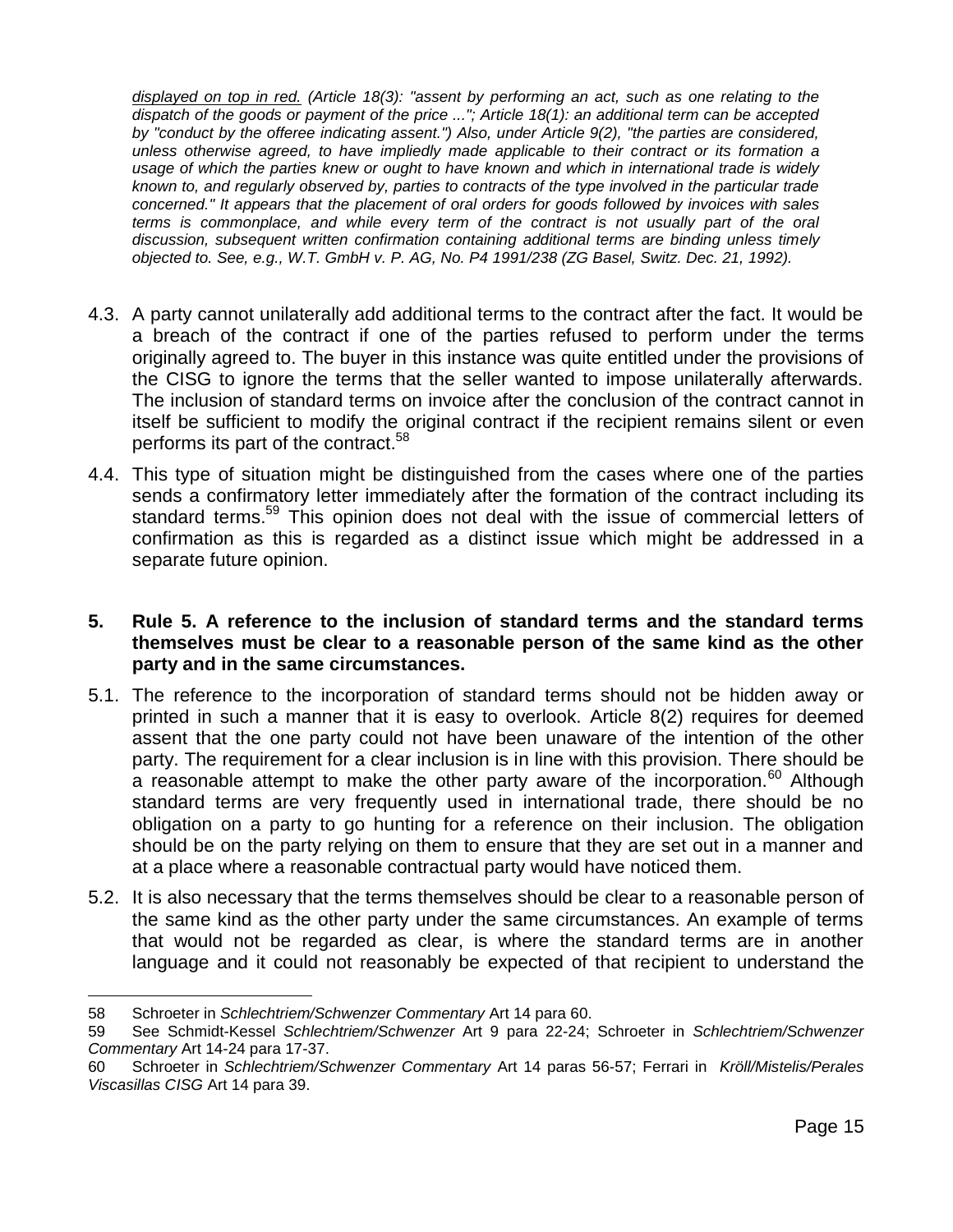*displayed on top in red. (Article 18(3): "assent by performing an act, such as one relating to the dispatch of the goods or payment of the price ..."; Article 18(1): an additional term can be accepted by "conduct by the offeree indicating assent.") Also, under Article 9(2), "the parties are considered, unless otherwise agreed, to have impliedly made applicable to their contract or its formation a usage of which the parties knew or ought to have known and which in international trade is widely known to, and regularly observed by, parties to contracts of the type involved in the particular trade concerned." It appears that the placement of oral orders for goods followed by invoices with sales terms is commonplace, and while every term of the contract is not usually part of the oral discussion, subsequent written confirmation containing additional terms are binding unless timely objected to. See, e.g., W.T. GmbH v. P. AG, No. P4 1991/238 (ZG Basel, Switz. Dec. 21, 1992).*

- 4.3. A party cannot unilaterally add additional terms to the contract after the fact. It would be a breach of the contract if one of the parties refused to perform under the terms originally agreed to. The buyer in this instance was quite entitled under the provisions of the CISG to ignore the terms that the seller wanted to impose unilaterally afterwards. The inclusion of standard terms on invoice after the conclusion of the contract cannot in itself be sufficient to modify the original contract if the recipient remains silent or even performs its part of the contract.<sup>58</sup>
- 4.4. This type of situation might be distinguished from the cases where one of the parties sends a confirmatory letter immediately after the formation of the contract including its standard terms.<sup>59</sup> This opinion does not deal with the issue of commercial letters of confirmation as this is regarded as a distinct issue which might be addressed in a separate future opinion.
- **5. Rule 5. A reference to the inclusion of standard terms and the standard terms themselves must be clear to a reasonable person of the same kind as the other party and in the same circumstances.**
- 5.1. The reference to the incorporation of standard terms should not be hidden away or printed in such a manner that it is easy to overlook. Article 8(2) requires for deemed assent that the one party could not have been unaware of the intention of the other party. The requirement for a clear inclusion is in line with this provision. There should be a reasonable attempt to make the other party aware of the incorporation.<sup>60</sup> Although standard terms are very frequently used in international trade, there should be no obligation on a party to go hunting for a reference on their inclusion. The obligation should be on the party relying on them to ensure that they are set out in a manner and at a place where a reasonable contractual party would have noticed them.
- 5.2. It is also necessary that the terms themselves should be clear to a reasonable person of the same kind as the other party under the same circumstances. An example of terms that would not be regarded as clear, is where the standard terms are in another language and it could not reasonably be expected of that recipient to understand the

 $\overline{a}$ 58 Schroeter in *Schlechtriem/Schwenzer Commentary* Art 14 para 60.

<sup>59</sup> See Schmidt-Kessel *Schlechtriem/Schwenzer* Art 9 para 22-24; Schroeter in *Schlechtriem/Schwenzer Commentary* Art 14-24 para 17-37.

<sup>60</sup> Schroeter in *Schlechtriem/Schwenzer Commentary* Art 14 paras 56-57; Ferrari in *Kröll/Mistelis/Perales Viscasillas CISG* Art 14 para 39.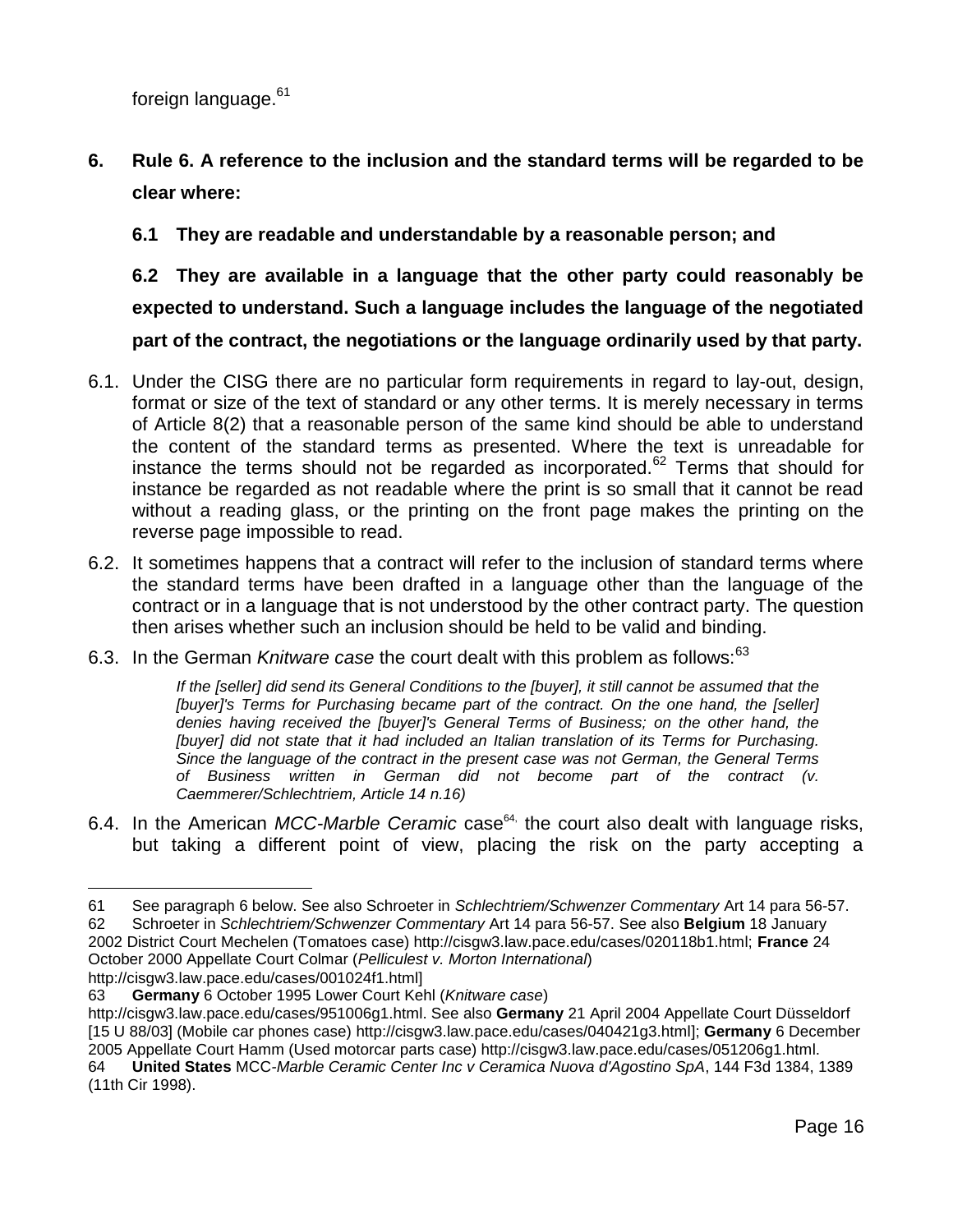foreign language.<sup>61</sup>

**6. Rule 6. A reference to the inclusion and the standard terms will be regarded to be clear where:**

**6.1 They are readable and understandable by a reasonable person; and**

**6.2 They are available in a language that the other party could reasonably be expected to understand. Such a language includes the language of the negotiated part of the contract, the negotiations or the language ordinarily used by that party.**

- 6.1. Under the CISG there are no particular form requirements in regard to lay-out, design, format or size of the text of standard or any other terms. It is merely necessary in terms of Article 8(2) that a reasonable person of the same kind should be able to understand the content of the standard terms as presented. Where the text is unreadable for instance the terms should not be regarded as incorporated.<sup>62</sup> Terms that should for instance be regarded as not readable where the print is so small that it cannot be read without a reading glass, or the printing on the front page makes the printing on the reverse page impossible to read.
- 6.2. It sometimes happens that a contract will refer to the inclusion of standard terms where the standard terms have been drafted in a language other than the language of the contract or in a language that is not understood by the other contract party. The question then arises whether such an inclusion should be held to be valid and binding.
- 6.3. In the German *Knitware case* the court dealt with this problem as follows:<sup>63</sup>

*If the [seller] did send its General Conditions to the [buyer], it still cannot be assumed that the [buyer]'s Terms for Purchasing became part of the contract. On the one hand, the [seller] denies having received the [buyer]'s General Terms of Business; on the other hand, the [buyer] did not state that it had included an Italian translation of its Terms for Purchasing. Since the language of the contract in the present case was not German, the General Terms of Business written in German did not become part of the contract (v. Caemmerer/Schlechtriem, Article 14 n.16)*

6.4. In the American *MCC-Marble Ceramic* case<sup>64,</sup> the court also dealt with language risks, but taking a different point of view, placing the risk on the party accepting a

http://cisgw3.law.pace.edu/cases/001024f1.html]

 $\overline{a}$ 61 See paragraph 6 below. See also Schroeter in *Schlechtriem/Schwenzer Commentary* Art 14 para 56-57. 62 Schroeter in *Schlechtriem/Schwenzer Commentary* Art 14 para 56-57. See also **Belgium** 18 January 2002 District Court Mechelen (Tomatoes case) http://cisgw3.law.pace.edu/cases/020118b1.html; **France** 24 October 2000 Appellate Court Colmar (*Pelliculest v. Morton International*)

<sup>63</sup> **Germany** 6 October 1995 Lower Court Kehl (*Knitware case*)

http://cisgw3.law.pace.edu/cases/951006g1.html. See also **Germany** 21 April 2004 Appellate Court Düsseldorf [15 U 88/03] (Mobile car phones case) http://cisgw3.law.pace.edu/cases/040421g3.html]; **Germany** 6 December 2005 Appellate Court Hamm (Used motorcar parts case) http://cisgw3.law.pace.edu/cases/051206g1.html.

<sup>64</sup> **United States** MCC*-Marble Ceramic Center Inc v Ceramica Nuova d'Agostino SpA*, 144 F3d 1384, 1389 (11th Cir 1998).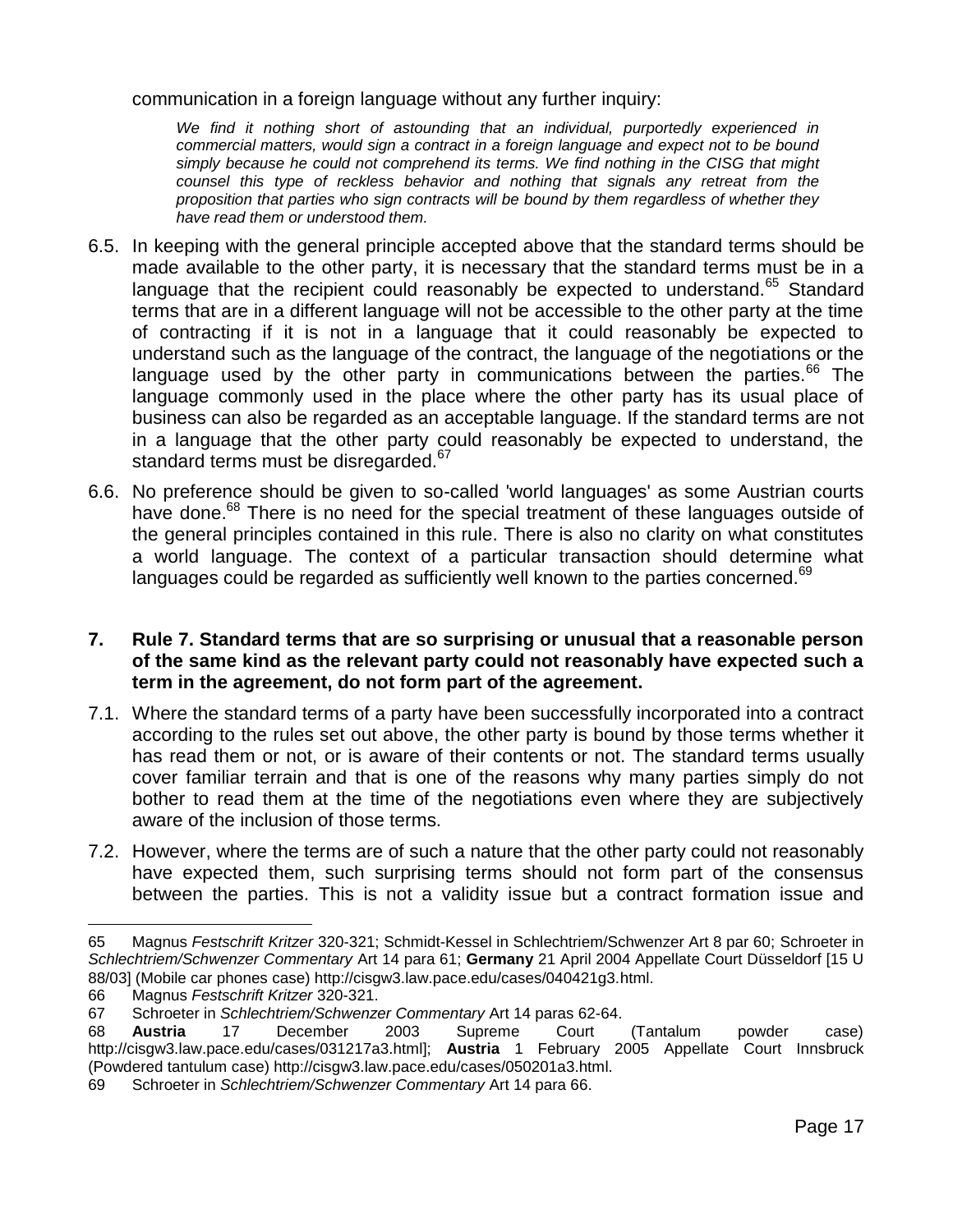communication in a foreign language without any further inquiry:

*We find it nothing short of astounding that an individual, purportedly experienced in commercial matters, would sign a contract in a foreign language and expect not to be bound simply because he could not comprehend its terms. We find nothing in the CISG that might counsel this type of reckless behavior and nothing that signals any retreat from the proposition that parties who sign contracts will be bound by them regardless of whether they have read them or understood them.*

- 6.5. In keeping with the general principle accepted above that the standard terms should be made available to the other party, it is necessary that the standard terms must be in a language that the recipient could reasonably be expected to understand.<sup>65</sup> Standard terms that are in a different language will not be accessible to the other party at the time of contracting if it is not in a language that it could reasonably be expected to understand such as the language of the contract, the language of the negotiations or the language used by the other party in communications between the parties.<sup>66</sup> The language commonly used in the place where the other party has its usual place of business can also be regarded as an acceptable language. If the standard terms are not in a language that the other party could reasonably be expected to understand, the standard terms must be disregarded.<sup>67</sup>
- 6.6. No preference should be given to so-called 'world languages' as some Austrian courts have done.<sup>68</sup> There is no need for the special treatment of these languages outside of the general principles contained in this rule. There is also no clarity on what constitutes a world language. The context of a particular transaction should determine what languages could be regarded as sufficiently well known to the parties concerned.<sup>69</sup>
- **7. Rule 7. Standard terms that are so surprising or unusual that a reasonable person of the same kind as the relevant party could not reasonably have expected such a term in the agreement, do not form part of the agreement.**
- 7.1. Where the standard terms of a party have been successfully incorporated into a contract according to the rules set out above, the other party is bound by those terms whether it has read them or not, or is aware of their contents or not. The standard terms usually cover familiar terrain and that is one of the reasons why many parties simply do not bother to read them at the time of the negotiations even where they are subjectively aware of the inclusion of those terms.
- 7.2. However, where the terms are of such a nature that the other party could not reasonably have expected them, such surprising terms should not form part of the consensus between the parties. This is not a validity issue but a contract formation issue and

<sup>65</sup> Magnus *Festschrift Kritzer* 320-321; Schmidt-Kessel in Schlechtriem/Schwenzer Art 8 par 60; Schroeter in *Schlechtriem/Schwenzer Commentary* Art 14 para 61; **Germany** 21 April 2004 Appellate Court Düsseldorf [15 U 88/03] (Mobile car phones case) http://cisgw3.law.pace.edu/cases/040421g3.html.

<sup>66</sup> Magnus *Festschrift Kritzer* 320-321.

<sup>67</sup> Schroeter in *Schlechtriem/Schwenzer Commentary* Art 14 paras 62-64.

<sup>68</sup> **Austria** 17 December 2003 Supreme Court (Tantalum powder case) http://cisgw3.law.pace.edu/cases/031217a3.html]; **Austria** 1 February 2005 Appellate Court Innsbruck (Powdered tantulum case) http://cisgw3.law.pace.edu/cases/050201a3.html.

<sup>69</sup> Schroeter in *Schlechtriem/Schwenzer Commentary* Art 14 para 66.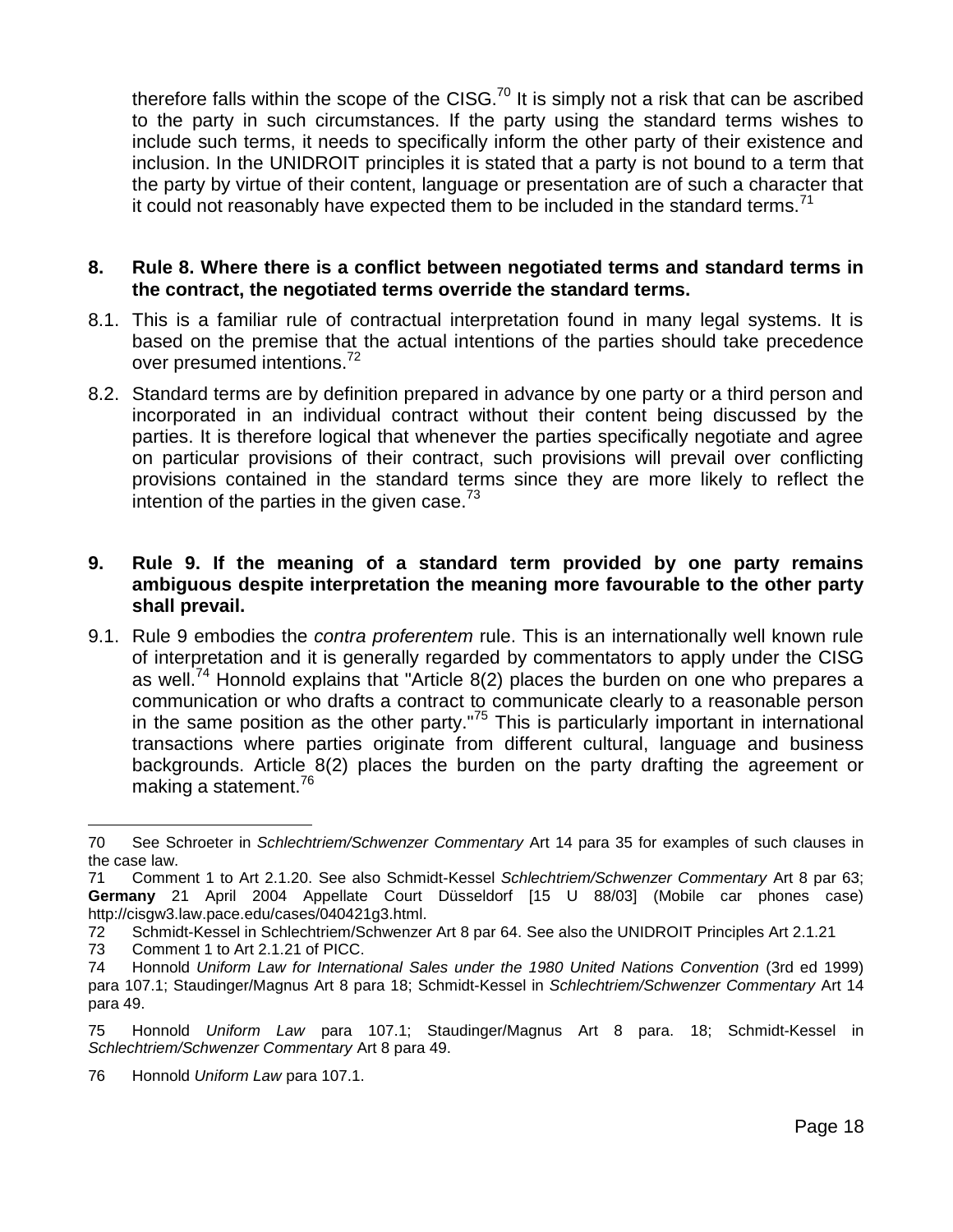therefore falls within the scope of the CISG.<sup>70</sup> It is simply not a risk that can be ascribed to the party in such circumstances. If the party using the standard terms wishes to include such terms, it needs to specifically inform the other party of their existence and inclusion. In the UNIDROIT principles it is stated that a party is not bound to a term that the party by virtue of their content, language or presentation are of such a character that it could not reasonably have expected them to be included in the standard terms.<sup>71</sup>

#### **8. Rule 8. Where there is a conflict between negotiated terms and standard terms in the contract, the negotiated terms override the standard terms.**

- 8.1. This is a familiar rule of contractual interpretation found in many legal systems. It is based on the premise that the actual intentions of the parties should take precedence over presumed intentions.<sup>72</sup>
- 8.2. Standard terms are by definition prepared in advance by one party or a third person and incorporated in an individual contract without their content being discussed by the parties. It is therefore logical that whenever the parties specifically negotiate and agree on particular provisions of their contract, such provisions will prevail over conflicting provisions contained in the standard terms since they are more likely to reflect the intention of the parties in the given case.  $3<sup>3</sup>$

### **9. Rule 9. If the meaning of a standard term provided by one party remains ambiguous despite interpretation the meaning more favourable to the other party shall prevail.**

9.1. Rule 9 embodies the *contra proferentem* rule. This is an internationally well known rule of interpretation and it is generally regarded by commentators to apply under the CISG as well.<sup>74</sup> Honnold explains that "Article  $8(2)$  places the burden on one who prepares a communication or who drafts a contract to communicate clearly to a reasonable person in the same position as the other party."<sup>75</sup> This is particularly important in international transactions where parties originate from different cultural, language and business backgrounds. Article 8(2) places the burden on the party drafting the agreement or making a statement.<sup>76</sup>

73 Comment 1 to Art 2.1.21 of PICC.

<sup>70</sup> See Schroeter in *Schlechtriem/Schwenzer Commentary* Art 14 para 35 for examples of such clauses in the case law.

<sup>71</sup> Comment 1 to Art 2.1.20. See also Schmidt-Kessel *Schlechtriem/Schwenzer Commentary* Art 8 par 63; **Germany** 21 April 2004 Appellate Court Düsseldorf [15 U 88/03] (Mobile car phones case) http://cisgw3.law.pace.edu/cases/040421g3.html.

<sup>72</sup> Schmidt-Kessel in Schlechtriem/Schwenzer Art 8 par 64. See also the UNIDROIT Principles Art 2.1.21

<sup>74</sup> Honnold *Uniform Law for International Sales under the 1980 United Nations Convention* (3rd ed 1999) para 107.1; Staudinger/Magnus Art 8 para 18; Schmidt-Kessel in *Schlechtriem/Schwenzer Commentary* Art 14 para 49.

<sup>75</sup> Honnold *Uniform Law* para 107.1; Staudinger/Magnus Art 8 para. 18; Schmidt-Kessel in *Schlechtriem/Schwenzer Commentary* Art 8 para 49.

<sup>76</sup> Honnold *Uniform Law* para 107.1.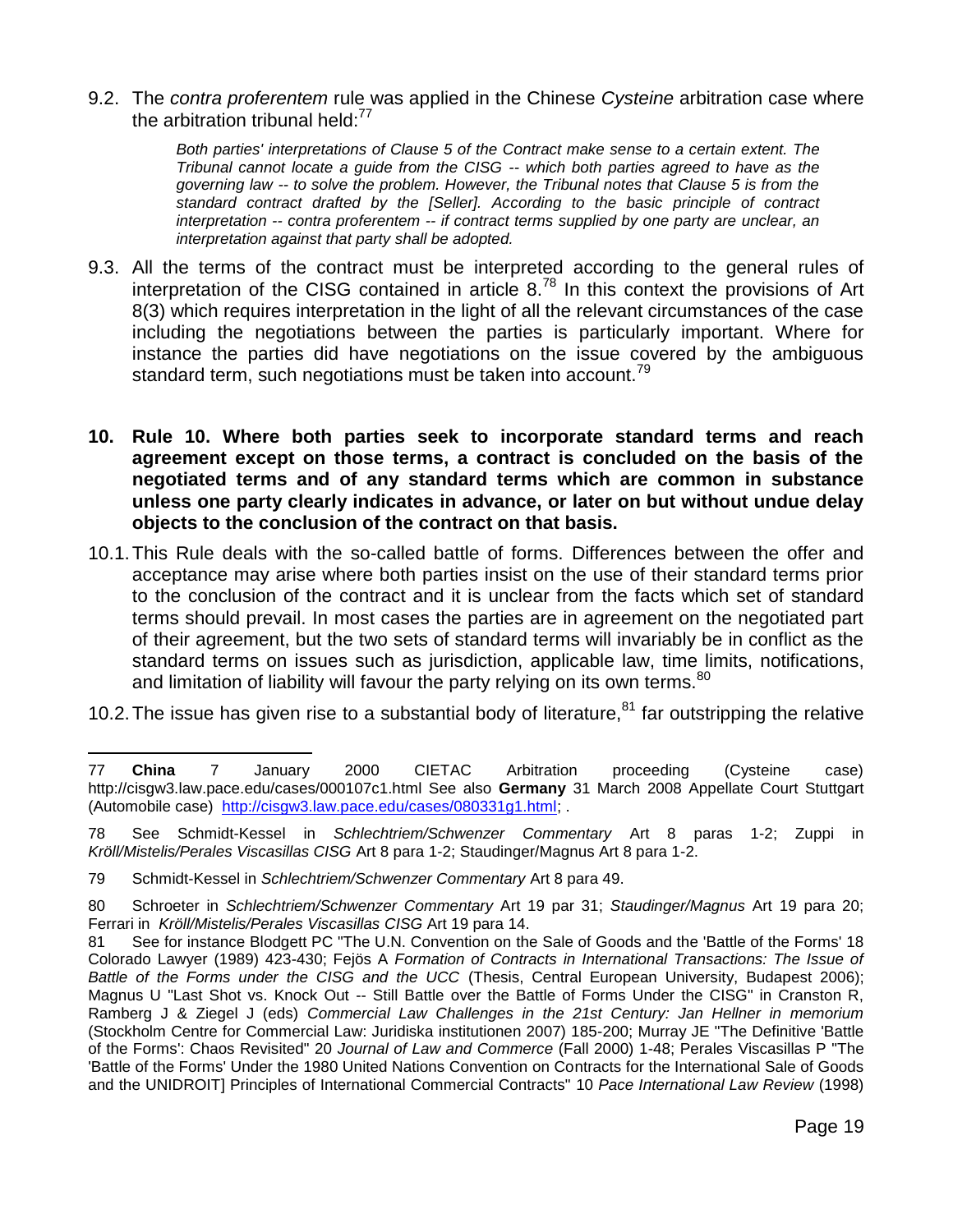9.2. The *contra proferentem* rule was applied in the Chinese *Cysteine* arbitration case where the arbitration tribunal held: $77$ 

> *Both parties' interpretations of Clause 5 of the Contract make sense to a certain extent. The Tribunal cannot locate a guide from the CISG -- which both parties agreed to have as the governing law -- to solve the problem. However, the Tribunal notes that Clause 5 is from the standard contract drafted by the [Seller]. According to the basic principle of contract interpretation -- contra proferentem -- if contract terms supplied by one party are unclear, an interpretation against that party shall be adopted.*

- 9.3. All the terms of the contract must be interpreted according to the general rules of interpretation of the CISG contained in article  $8^{78}$  In this context the provisions of Art 8(3) which requires interpretation in the light of all the relevant circumstances of the case including the negotiations between the parties is particularly important. Where for instance the parties did have negotiations on the issue covered by the ambiguous standard term, such negotiations must be taken into account.<sup>79</sup>
- **10. Rule 10. Where both parties seek to incorporate standard terms and reach agreement except on those terms, a contract is concluded on the basis of the negotiated terms and of any standard terms which are common in substance unless one party clearly indicates in advance, or later on but without undue delay objects to the conclusion of the contract on that basis.**
- 10.1.This Rule deals with the so-called battle of forms. Differences between the offer and acceptance may arise where both parties insist on the use of their standard terms prior to the conclusion of the contract and it is unclear from the facts which set of standard terms should prevail. In most cases the parties are in agreement on the negotiated part of their agreement, but the two sets of standard terms will invariably be in conflict as the standard terms on issues such as jurisdiction, applicable law, time limits, notifications, and limitation of liability will favour the party relying on its own terms. $80$
- 10.2. The issue has given rise to a substantial body of literature,  $81$  far outstripping the relative

 $\overline{a}$ 77 **China** 7 January 2000 CIETAC Arbitration proceeding (Cysteine case) http://cisgw3.law.pace.edu/cases/000107c1.html See also **Germany** 31 March 2008 Appellate Court Stuttgart (Automobile case) [http://cisgw3.law.pace.edu/cases/080331g1.html;](http://cisgw3.law.pace.edu/cases/080331g1.html) .

<sup>78</sup> See Schmidt-Kessel in *Schlechtriem/Schwenzer Commentary* Art 8 paras 1-2; Zuppi in *Kröll/Mistelis/Perales Viscasillas CISG* Art 8 para 1-2; Staudinger/Magnus Art 8 para 1-2.

<sup>79</sup> Schmidt-Kessel in *Schlechtriem/Schwenzer Commentary* Art 8 para 49.

<sup>80</sup> Schroeter in *Schlechtriem/Schwenzer Commentary* Art 19 par 31; *Staudinger/Magnus* Art 19 para 20; Ferrari in *Kröll/Mistelis/Perales Viscasillas CISG* Art 19 para 14.

<sup>81</sup> See for instance Blodgett PC "The U.N. Convention on the Sale of Goods and the 'Battle of the Forms' 18 Colorado Lawyer (1989) 423-430; Fejös A *Formation of Contracts in International Transactions: The Issue of Battle of the Forms under the CISG and the UCC* (Thesis, Central European University, Budapest 2006); Magnus U "Last Shot vs. Knock Out -- Still Battle over the Battle of Forms Under the CISG" in Cranston R, Ramberg J & Ziegel J (eds) *Commercial Law Challenges in the 21st Century: Jan Hellner in memorium* (Stockholm Centre for Commercial Law: Juridiska institutionen 2007) 185-200; Murray JE "The Definitive 'Battle of the Forms': Chaos Revisited" 20 *Journal of Law and Commerce* (Fall 2000) 1-48; Perales Viscasillas P "The 'Battle of the Forms' Under the 1980 United Nations Convention on Contracts for the International Sale of Goods and the UNIDROIT] Principles of International Commercial Contracts" 10 *Pace International Law Review* (1998)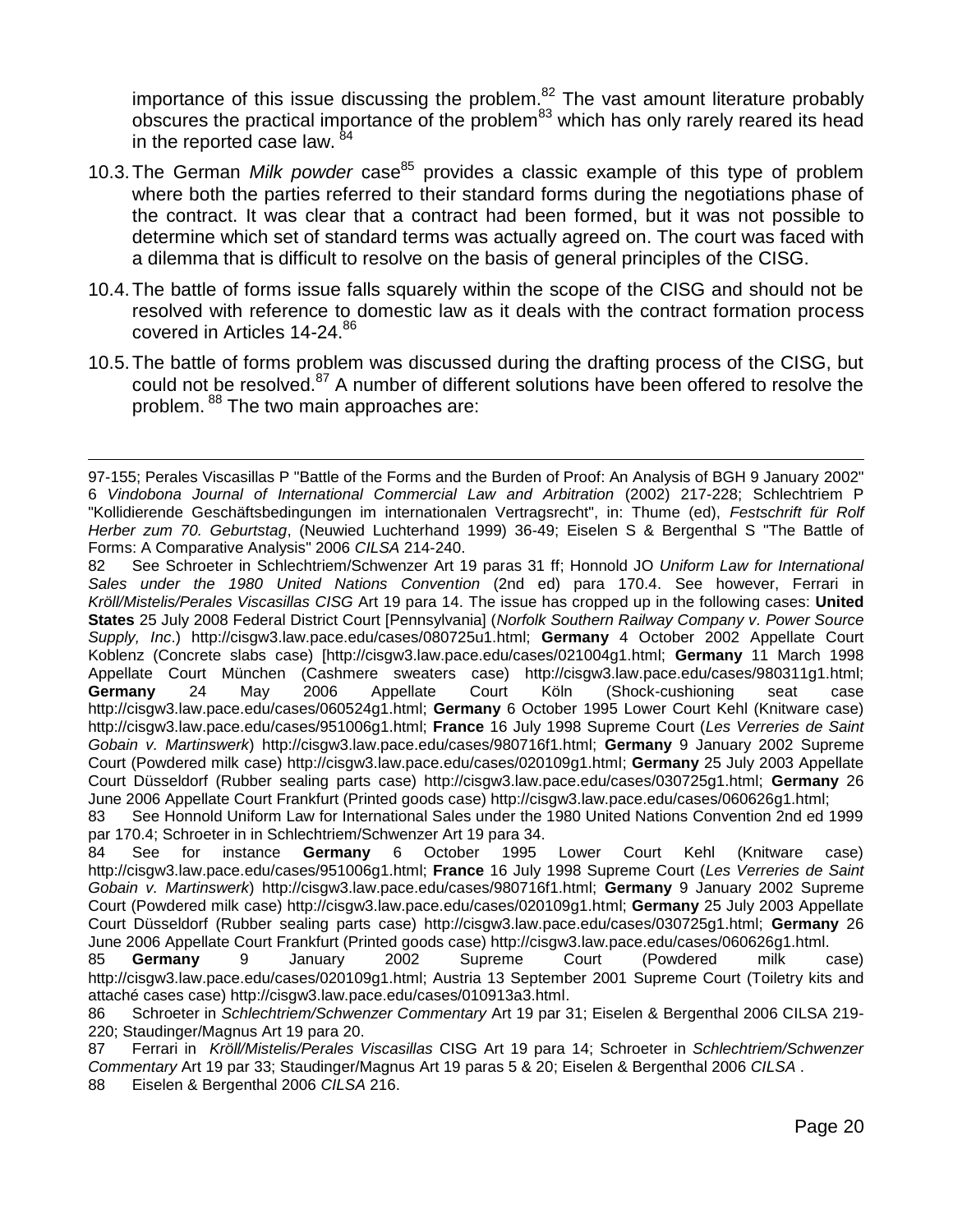importance of this issue discussing the problem. $82$  The vast amount literature probably obscures the practical importance of the problem<sup>83</sup> which has only rarely reared its head in the reported case law. <sup>84</sup>

- 10.3. The German *Milk powder* case<sup>85</sup> provides a classic example of this type of problem where both the parties referred to their standard forms during the negotiations phase of the contract. It was clear that a contract had been formed, but it was not possible to determine which set of standard terms was actually agreed on. The court was faced with a dilemma that is difficult to resolve on the basis of general principles of the CISG.
- 10.4.The battle of forms issue falls squarely within the scope of the CISG and should not be resolved with reference to domestic law as it deals with the contract formation process covered in Articles 14-24.<sup>86</sup>
- 10.5.The battle of forms problem was discussed during the drafting process of the CISG, but could not be resolved.<sup>87</sup> A number of different solutions have been offered to resolve the problem. <sup>88</sup> The two main approaches are:

82 See Schroeter in Schlechtriem/Schwenzer Art 19 paras 31 ff; Honnold JO *Uniform Law for International Sales under the 1980 United Nations Convention* (2nd ed) para 170.4. See however, Ferrari in *Kröll/Mistelis/Perales Viscasillas CISG* Art 19 para 14. The issue has cropped up in the following cases: **United States** 25 July 2008 Federal District Court [Pennsylvania] (*Norfolk Southern Railway Company v. Power Source Supply, Inc*.) http://cisgw3.law.pace.edu/cases/080725u1.html; **Germany** 4 October 2002 Appellate Court Koblenz (Concrete slabs case) [http://cisgw3.law.pace.edu/cases/021004g1.html; **Germany** 11 March 1998 Appellate Court München (Cashmere sweaters case) http://cisgw3.law.pace.edu/cases/980311g1.html; **Germany** 24 May 2006 Appellate Court Köln (Shock-cushioning seat case http://cisgw3.law.pace.edu/cases/060524g1.html; **Germany** 6 October 1995 Lower Court Kehl (Knitware case) http://cisgw3.law.pace.edu/cases/951006g1.html; **France** 16 July 1998 Supreme Court (*Les Verreries de Saint Gobain v. Martinswerk*) http://cisgw3.law.pace.edu/cases/980716f1.html; **Germany** 9 January 2002 Supreme Court (Powdered milk case) http://cisgw3.law.pace.edu/cases/020109g1.html; **Germany** 25 July 2003 Appellate Court Düsseldorf (Rubber sealing parts case) http://cisgw3.law.pace.edu/cases/030725g1.html; **Germany** 26 June 2006 Appellate Court Frankfurt (Printed goods case) http://cisgw3.law.pace.edu/cases/060626g1.html;

<sup>97-155;</sup> Perales Viscasillas P "Battle of the Forms and the Burden of Proof: An Analysis of BGH 9 January 2002" 6 *Vindobona Journal of International Commercial Law and Arbitration* (2002) 217-228; Schlechtriem P "Kollidierende Geschäftsbedingungen im internationalen Vertragsrecht", in: Thume (ed), *Festschrift für Rolf Herber zum 70. Geburtstag*, (Neuwied Luchterhand 1999) 36-49; Eiselen S & Bergenthal S "The Battle of Forms: A Comparative Analysis" 2006 *CILSA* 214-240.

<sup>83</sup> See Honnold Uniform Law for International Sales under the 1980 United Nations Convention 2nd ed 1999 par 170.4; Schroeter in in Schlechtriem/Schwenzer Art 19 para 34.

<sup>84</sup> See for instance **Germany** 6 October 1995 Lower Court Kehl (Knitware case) http://cisgw3.law.pace.edu/cases/951006g1.html; **France** 16 July 1998 Supreme Court (*Les Verreries de Saint Gobain v. Martinswerk*) http://cisgw3.law.pace.edu/cases/980716f1.html; **Germany** 9 January 2002 Supreme Court (Powdered milk case) http://cisgw3.law.pace.edu/cases/020109g1.html; **Germany** 25 July 2003 Appellate Court Düsseldorf (Rubber sealing parts case) http://cisgw3.law.pace.edu/cases/030725g1.html; **Germany** 26 June 2006 Appellate Court Frankfurt (Printed goods case) http://cisgw3.law.pace.edu/cases/060626g1.html.

<sup>85</sup> **Germany** 9 January 2002 Supreme Court (Powdered milk case) http://cisgw3.law.pace.edu/cases/020109g1.html; Austria 13 September 2001 Supreme Court (Toiletry kits and attaché cases case) http://cisgw3.law.pace.edu/cases/010913a3.html.

<sup>86</sup> Schroeter in *Schlechtriem/Schwenzer Commentary* Art 19 par 31; Eiselen & Bergenthal 2006 CILSA 219- 220; Staudinger/Magnus Art 19 para 20.

<sup>87</sup> Ferrari in *Kröll/Mistelis/Perales Viscasillas* CISG Art 19 para 14; Schroeter in *Schlechtriem/Schwenzer Commentary* Art 19 par 33; Staudinger/Magnus Art 19 paras 5 & 20; Eiselen & Bergenthal 2006 *CILSA* .

<sup>88</sup> Eiselen & Bergenthal 2006 *CILSA* 216.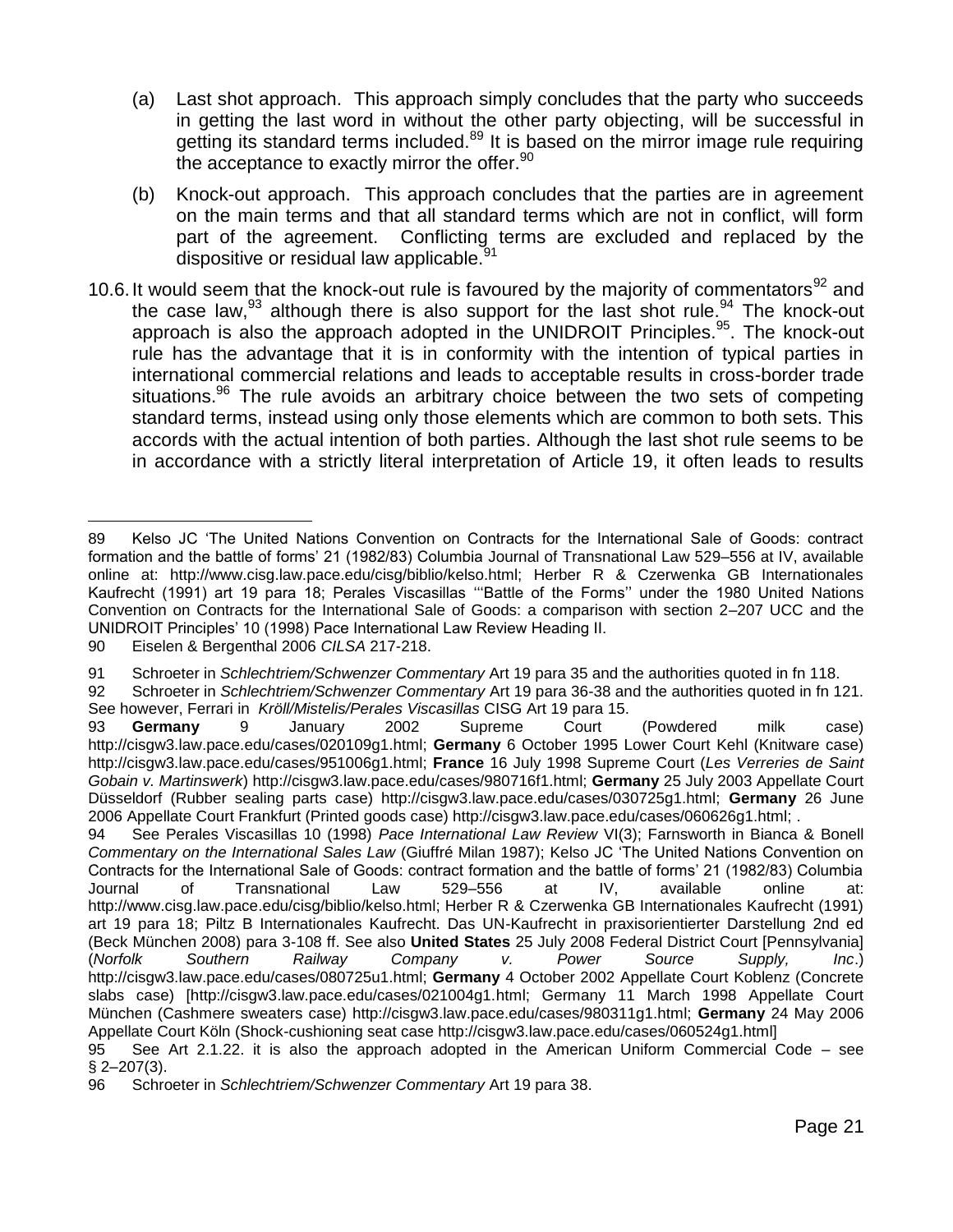- (a) Last shot approach. This approach simply concludes that the party who succeeds in getting the last word in without the other party objecting, will be successful in getting its standard terms included.<sup>89</sup> It is based on the mirror image rule requiring the acceptance to exactly mirror the offer.<sup>90</sup>
- (b) Knock-out approach. This approach concludes that the parties are in agreement on the main terms and that all standard terms which are not in conflict, will form part of the agreement. Conflicting terms are excluded and replaced by the dispositive or residual law applicable.<sup>91</sup>
- 10.6. It would seem that the knock-out rule is favoured by the majority of commentators<sup>92</sup> and the case law,  $93$  although there is also support for the last shot rule.  $94$  The knock-out approach is also the approach adopted in the UNIDROIT Principles.<sup>95</sup>. The knock-out rule has the advantage that it is in conformity with the intention of typical parties in international commercial relations and leads to acceptable results in cross-border trade situations.<sup>96</sup> The rule avoids an arbitrary choice between the two sets of competing standard terms, instead using only those elements which are common to both sets. This accords with the actual intention of both parties. Although the last shot rule seems to be in accordance with a strictly literal interpretation of Article 19, it often leads to results

94 See Perales Viscasillas 10 (1998) *Pace International Law Review* VI(3); Farnsworth in Bianca & Bonell *Commentary on the International Sales Law* (Giuffré Milan 1987); Kelso JC 'The United Nations Convention on Contracts for the International Sale of Goods: contract formation and the battle of forms' 21 (1982/83) Columbia Journal of Transnational Law 529–556 at IV, available online at: http://www.cisg.law.pace.edu/cisg/biblio/kelso.html; Herber R & Czerwenka GB Internationales Kaufrecht (1991) art 19 para 18; Piltz B Internationales Kaufrecht. Das UN-Kaufrecht in praxisorientierter Darstellung 2nd ed (Beck München 2008) para 3-108 ff. See also **United States** 25 July 2008 Federal District Court [Pennsylvania] (*Norfolk Southern Railway Company v. Power Source Supply, Inc*.) http://cisgw3.law.pace.edu/cases/080725u1.html; **Germany** 4 October 2002 Appellate Court Koblenz (Concrete slabs case) [http://cisgw3.law.pace.edu/cases/021004g1.html; Germany 11 March 1998 Appellate Court München (Cashmere sweaters case) http://cisgw3.law.pace.edu/cases/980311g1.html; **Germany** 24 May 2006 Appellate Court Köln (Shock-cushioning seat case http://cisgw3.law.pace.edu/cases/060524g1.html]

 $\overline{a}$ 89 Kelso JC 'The United Nations Convention on Contracts for the International Sale of Goods: contract formation and the battle of forms' 21 (1982/83) Columbia Journal of Transnational Law 529–556 at IV, available online at: http://www.cisg.law.pace.edu/cisg/biblio/kelso.html; Herber R & Czerwenka GB Internationales Kaufrecht (1991) art 19 para 18; Perales Viscasillas '''Battle of the Forms'' under the 1980 United Nations Convention on Contracts for the International Sale of Goods: a comparison with section 2–207 UCC and the UNIDROIT Principles' 10 (1998) Pace International Law Review Heading II.

<sup>90</sup> Eiselen & Bergenthal 2006 *CILSA* 217-218.

<sup>91</sup> Schroeter in *Schlechtriem/Schwenzer Commentary* Art 19 para 35 and the authorities quoted in fn 118.

<sup>92</sup> Schroeter in *Schlechtriem/Schwenzer Commentary* Art 19 para 36-38 and the authorities quoted in fn 121. See however, Ferrari in *Kröll/Mistelis/Perales Viscasillas* CISG Art 19 para 15.

<sup>93</sup> **Germany** 9 January 2002 Supreme Court (Powdered milk case) http://cisgw3.law.pace.edu/cases/020109g1.html; **Germany** 6 October 1995 Lower Court Kehl (Knitware case) http://cisgw3.law.pace.edu/cases/951006g1.html; **France** 16 July 1998 Supreme Court (*Les Verreries de Saint Gobain v. Martinswerk*) http://cisgw3.law.pace.edu/cases/980716f1.html; **Germany** 25 July 2003 Appellate Court Düsseldorf (Rubber sealing parts case) http://cisgw3.law.pace.edu/cases/030725g1.html; **Germany** 26 June 2006 Appellate Court Frankfurt (Printed goods case) http://cisgw3.law.pace.edu/cases/060626g1.html; .

<sup>95</sup> See Art 2.1.22. it is also the approach adopted in the American Uniform Commercial Code – see § 2–207(3).

<sup>96</sup> Schroeter in *Schlechtriem/Schwenzer Commentary* Art 19 para 38.